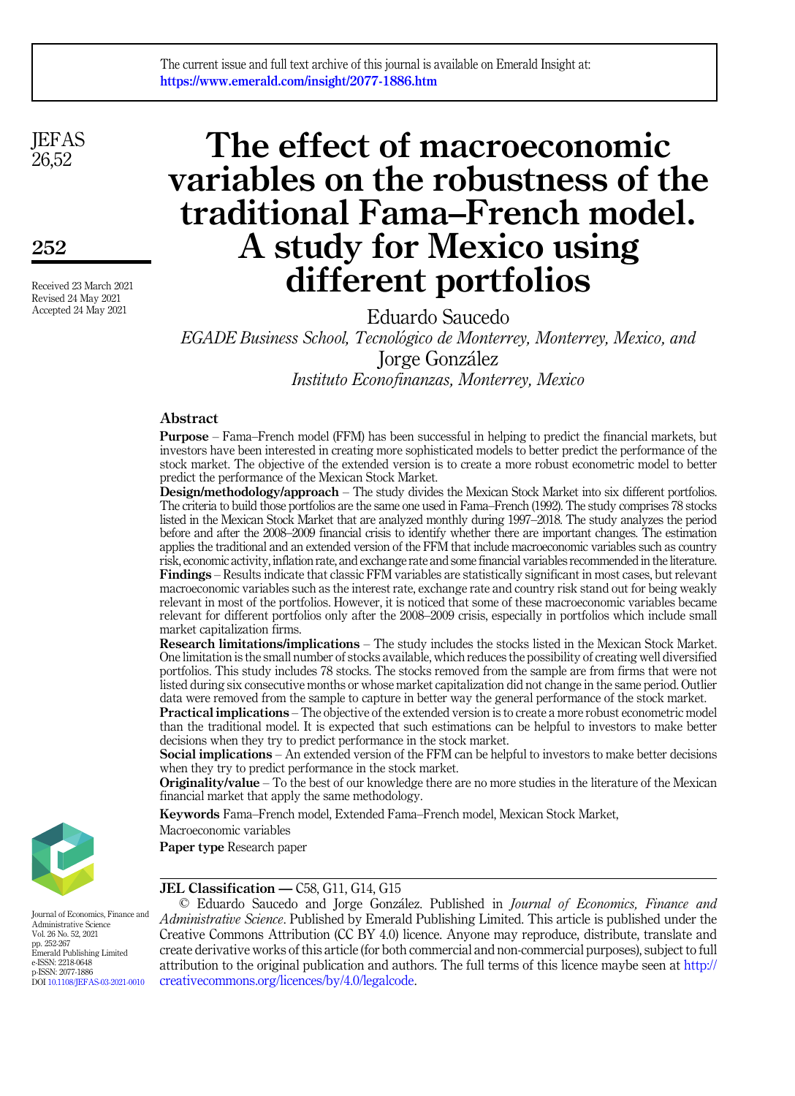**JEFAS** 26,52

252

Received 23 March 2021 Revised 24 May 2021 Accepted 24 May 2021

# The effect of macroeconomic variables on the robustness of the traditional Fama–French model. A study for Mexico using different portfolios

Eduardo Saucedo EGADE Business School, Tecnológico de Monterrey, Monterrey, Mexico, and Jorge Gonzalez Instituto Econofinanzas, Monterrey, Mexico

## Abstract

Purpose – Fama–French model (FFM) has been successful in helping to predict the financial markets, but investors have been interested in creating more sophisticated models to better predict the performance of the stock market. The objective of the extended version is to create a more robust econometric model to better predict the performance of the Mexican Stock Market.

Design/methodology/approach – The study divides the Mexican Stock Market into six different portfolios. The criteria to build those portfolios are the same one used in Fama–French (1992). The study comprises 78 stocks listed in the Mexican Stock Market that are analyzed monthly during 1997–2018. The study analyzes the period before and after the 2008–2009 financial crisis to identify whether there are important changes. The estimation applies the traditional and an extended version of the FFM that include macroeconomic variables such as country risk, economic activity, inflation rate, and exchange rate and some financial variables recommended in the literature. Findings – Results indicate that classic FFM variables are statistically significant in most cases, but relevant macroeconomic variables such as the interest rate, exchange rate and country risk stand out for being weakly relevant in most of the portfolios. However, it is noticed that some of these macroeconomic variables became relevant for different portfolios only after the 2008–2009 crisis, especially in portfolios which include small market capitalization firms.

Research limitations/implications – The study includes the stocks listed in the Mexican Stock Market. One limitation is the small number of stocks available, which reduces the possibility of creating well diversified portfolios. This study includes 78 stocks. The stocks removed from the sample are from firms that were not listed during six consecutive months or whose market capitalization did not change in the same period. Outlier data were removed from the sample to capture in better way the general performance of the stock market.

Practical implications – The objective of the extended version is to create a more robust econometric model than the traditional model. It is expected that such estimations can be helpful to investors to make better decisions when they try to predict performance in the stock market.

Social implications – An extended version of the FFM can be helpful to investors to make better decisions when they try to predict performance in the stock market.

Originality/value – To the best of our knowledge there are no more studies in the literature of the Mexican financial market that apply the same methodology.

Keywords Fama–French model, Extended Fama–French model, Mexican Stock Market,

Macroeconomic variables

Paper type Research paper



JEL Classification — C58, G11, G14, G15

© Eduardo Saucedo and Jorge Gonzalez. Published in Journal of Economics, Finance and Administrative Science. Published by Emerald Publishing Limited. This article is published under the Creative Commons Attribution (CC BY 4.0) licence. Anyone may reproduce, distribute, translate and create derivative works of this article (for both commercial and non-commercial purposes), subject to full attribution to the original publication and authors. The full terms of this licence maybe seen at [http://](http://creativecommons.org/licences/by/4.0/legalcode) [creativecommons.org/licences/by/4.0/legalcode](http://creativecommons.org/licences/by/4.0/legalcode).

Journal of Economics, Finance and Administrative Science Vol. 26 No. 52, 2021 pp. 252-267 Emerald Publishing Limited e-ISSN: 2218-0648 p-ISSN: 2077-1886 DOI [10.1108/JEFAS-03-2021-0010](https://doi.org/10.1108/JEFAS-03-2021-0010)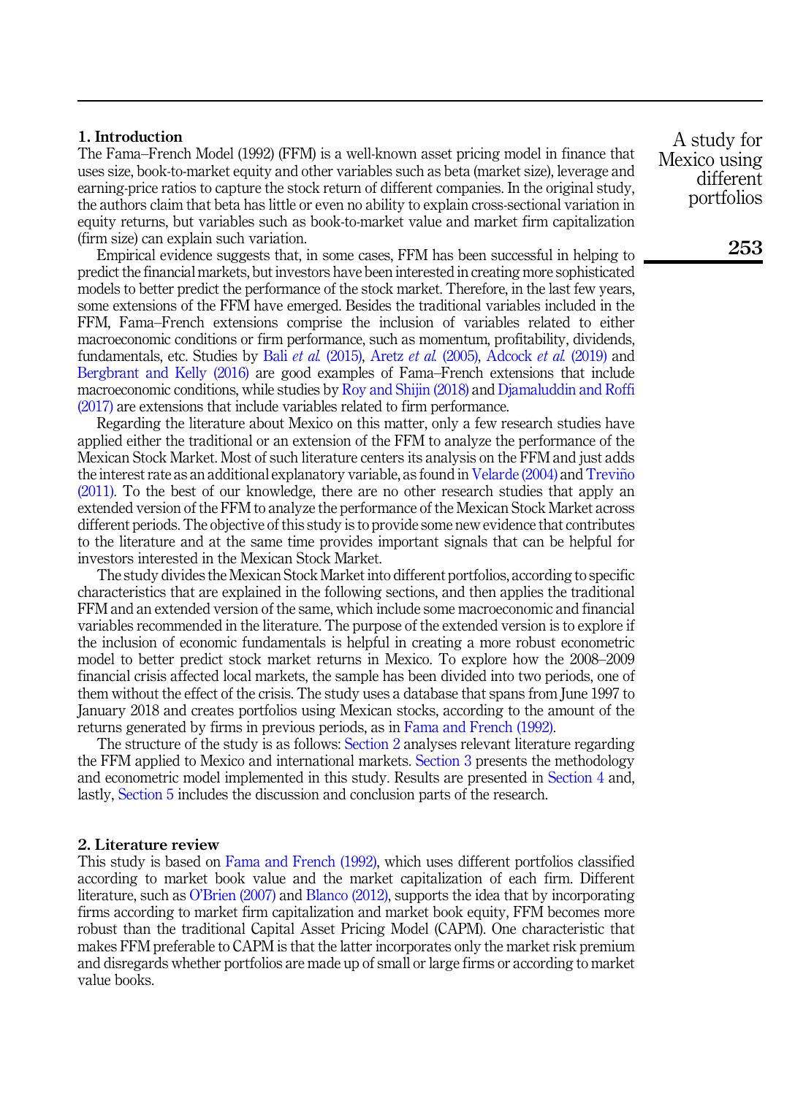# 1. Introduction

The Fama–French Model (1992) (FFM) is a well-known asset pricing model in finance that uses size, book-to-market equity and other variables such as beta (market size), leverage and earning-price ratios to capture the stock return of different companies. In the original study, the authors claim that beta has little or even no ability to explain cross-sectional variation in equity returns, but variables such as book-to-market value and market firm capitalization (firm size) can explain such variation.

Empirical evidence suggests that, in some cases, FFM has been successful in helping to predict the financial markets, but investors have been interested in creating more sophisticated models to better predict the performance of the stock market. Therefore, in the last few years, some extensions of the FFM have emerged. Besides the traditional variables included in the FFM, Fama–French extensions comprise the inclusion of variables related to either macroeconomic conditions or firm performance, such as momentum, profitability, dividends, fundamentals, etc. Studies by Bali et al. [\(2015\),](#page-14-0) Aretz et al. [\(2005\),](#page-14-1) [Adcock](#page-14-2) et al. (2019) and [Bergbrant and Kelly \(2016\)](#page-14-3) are good examples of Fama–French extensions that include macroeconomic conditions, while studies by [Roy and Shijin \(2018\)](#page-14-4) and [Djamaluddin and Roffi](#page-14-5) [\(2017\)](#page-14-5) are extensions that include variables related to firm performance.

Regarding the literature about Mexico on this matter, only a few research studies have applied either the traditional or an extension of the FFM to analyze the performance of the Mexican Stock Market. Most of such literature centers its analysis on the FFM and just adds the interest rate as an additional explanatory variable, as found in [Velarde \(2004\)](#page-15-0) and [Trevino](#page-15-1)~ [\(2011\).](#page-15-1) To the best of our knowledge, there are no other research studies that apply an extended version of the FFM to analyze the performance of the Mexican Stock Market across different periods. The objective of this study is to provide some new evidence that contributes to the literature and at the same time provides important signals that can be helpful for investors interested in the Mexican Stock Market.

The study divides the Mexican Stock Market into different portfolios, according to specific characteristics that are explained in the following sections, and then applies the traditional FFM and an extended version of the same, which include some macroeconomic and financial variables recommended in the literature. The purpose of the extended version is to explore if the inclusion of economic fundamentals is helpful in creating a more robust econometric model to better predict stock market returns in Mexico. To explore how the 2008–2009 financial crisis affected local markets, the sample has been divided into two periods, one of them without the effect of the crisis. The study uses a database that spans from June 1997 to January 2018 and creates portfolios using Mexican stocks, according to the amount of the returns generated by firms in previous periods, as in [Fama and French \(1992\)](#page-14-6).

The structure of the study is as follows: [Section 2](#page-1-0) analyses relevant literature regarding the FFM applied to Mexico and international markets. [Section 3](#page-3-0) presents the methodology and econometric model implemented in this study. Results are presented in [Section 4](#page-7-0) and, lastly, [Section 5](#page-11-0) includes the discussion and conclusion parts of the research.

#### <span id="page-1-0"></span>2. Literature review

This study is based on [Fama and French \(1992\),](#page-14-6) which uses different portfolios classified according to market book value and the market capitalization of each firm. Different literature, such as O'[Brien \(2007\)](#page-14-7) and [Blanco \(2012\),](#page-14-8) supports the idea that by incorporating firms according to market firm capitalization and market book equity, FFM becomes more robust than the traditional Capital Asset Pricing Model (CAPM). One characteristic that makes FFM preferable to CAPM is that the latter incorporates only the market risk premium and disregards whether portfolios are made up of small or large firms or according to market value books.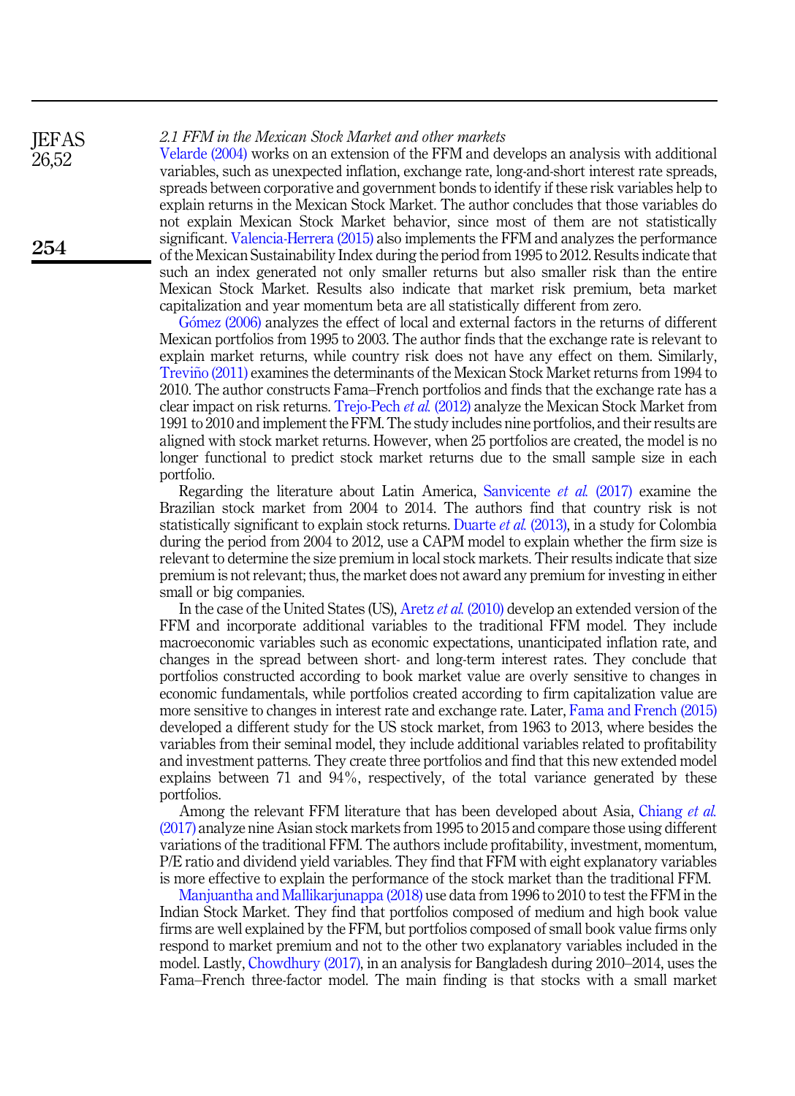# 2.1 FFM in the Mexican Stock Market and other markets

[Velarde \(2004\)](#page-15-0) works on an extension of the FFM and develops an analysis with additional variables, such as unexpected inflation, exchange rate, long-and-short interest rate spreads, spreads between corporative and government bonds to identify if these risk variables help to explain returns in the Mexican Stock Market. The author concludes that those variables do not explain Mexican Stock Market behavior, since most of them are not statistically significant. [Valencia-Herrera \(2015\)](#page-15-2) also implements the FFM and analyzes the performance of the Mexican Sustainability Index during the period from 1995 to 2012. Results indicate that such an index generated not only smaller returns but also smaller risk than the entire Mexican Stock Market. Results also indicate that market risk premium, beta market capitalization and year momentum beta are all statistically different from zero.

[G](#page-14-9)ó[mez \(2006\)](#page-14-9) analyzes the effect of local and external factors in the returns of different Mexican portfolios from 1995 to 2003. The author finds that the exchange rate is relevant to explain market returns, while country risk does not have any effect on them. Similarly, Treviño (2011) examines the determinants of the Mexican Stock Market returns from 1994 to 2010. The author constructs Fama–French portfolios and finds that the exchange rate has a clear impact on risk returns. [Trejo-Pech](#page-15-3) et al. (2012) analyze the Mexican Stock Market from 1991 to 2010 and implement the FFM. The study includes nine portfolios, and their results are aligned with stock market returns. However, when 25 portfolios are created, the model is no longer functional to predict stock market returns due to the small sample size in each portfolio.

Regarding the literature about Latin America, [Sanvicente](#page-14-10) et al. (2017) examine the Brazilian stock market from 2004 to 2014. The authors find that country risk is not statistically significant to explain stock returns. [Duarte](#page-14-11) *et al.* (2013), in a study for Colombia during the period from 2004 to 2012, use a CAPM model to explain whether the firm size is relevant to determine the size premium in local stock markets. Their results indicate that size premium is not relevant; thus, the market does not award any premium for investing in either small or big companies.

In the case of the United States (US), Aretz *et al.* [\(2010\)](#page-14-12) develop an extended version of the FFM and incorporate additional variables to the traditional FFM model. They include macroeconomic variables such as economic expectations, unanticipated inflation rate, and changes in the spread between short- and long-term interest rates. They conclude that portfolios constructed according to book market value are overly sensitive to changes in economic fundamentals, while portfolios created according to firm capitalization value are more sensitive to changes in interest rate and exchange rate. Later, [Fama and French \(2015\)](#page-14-13) developed a different study for the US stock market, from 1963 to 2013, where besides the variables from their seminal model, they include additional variables related to profitability and investment patterns. They create three portfolios and find that this new extended model explains between 71 and 94%, respectively, of the total variance generated by these portfolios.

Among the relevant FFM literature that has been developed about Asia, [Chiang](#page-14-14) et al. [\(2017\)](#page-14-14) analyze nine Asian stock markets from 1995 to 2015 and compare those using different variations of the traditional FFM. The authors include profitability, investment, momentum, P/E ratio and dividend yield variables. They find that FFM with eight explanatory variables is more effective to explain the performance of the stock market than the traditional FFM.

[Manjuantha and Mallikarjunappa \(2018\)](#page-14-15) use data from 1996 to 2010 to test the FFM in the Indian Stock Market. They find that portfolios composed of medium and high book value firms are well explained by the FFM, but portfolios composed of small book value firms only respond to market premium and not to the other two explanatory variables included in the model. Lastly, [Chowdhury \(2017\),](#page-14-16) in an analysis for Bangladesh during 2010–2014, uses the Fama–French three-factor model. The main finding is that stocks with a small market

**IEFAS** 26,52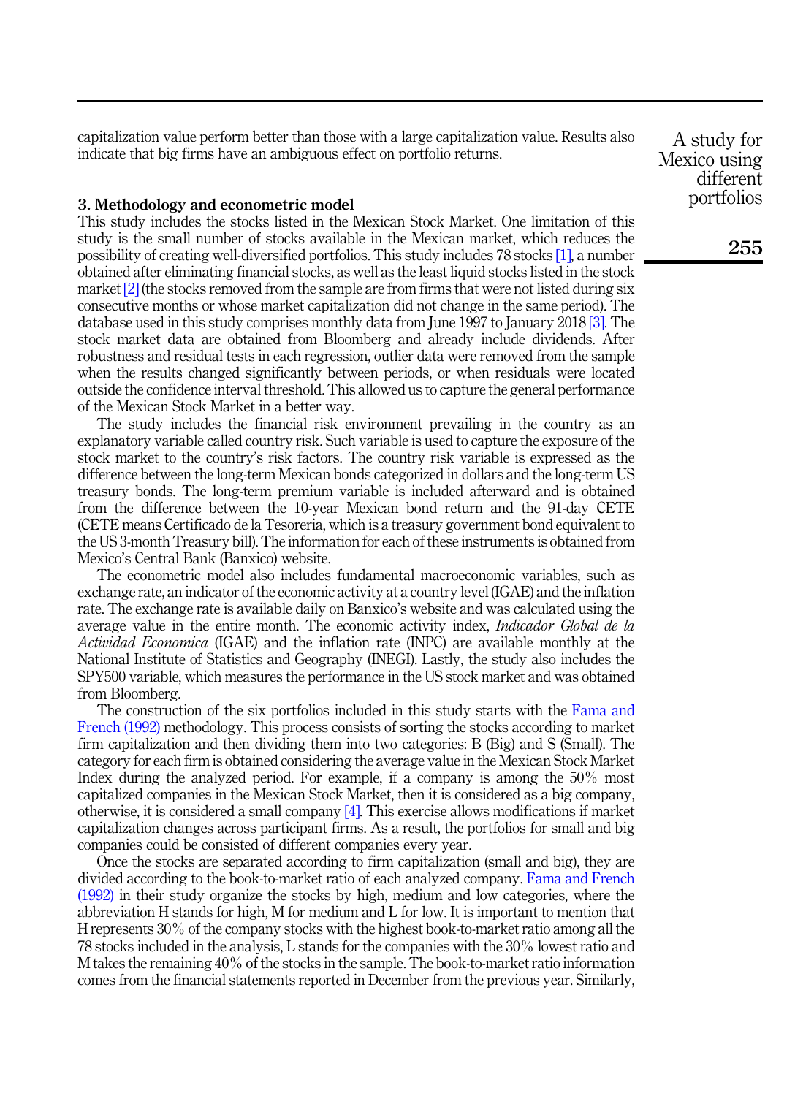capitalization value perform better than those with a large capitalization value. Results also indicate that big firms have an ambiguous effect on portfolio returns.

# <span id="page-3-0"></span>3. Methodology and econometric model

This study includes the stocks listed in the Mexican Stock Market. One limitation of this study is the small number of stocks available in the Mexican market, which reduces the possibility of creating well-diversified portfolios. This study includes 78 stocks [\[1\]](#page-13-0), a number obtained after eliminating financial stocks, as well as the least liquid stocks listed in the stock market  $[2]$  (the stocks removed from the sample are from firms that were not listed during six consecutive months or whose market capitalization did not change in the same period). The database used in this study comprises monthly data from June 1997 to January 2018 [\[3\].](#page-13-2) The stock market data are obtained from Bloomberg and already include dividends. After robustness and residual tests in each regression, outlier data were removed from the sample when the results changed significantly between periods, or when residuals were located outside the confidence interval threshold. This allowed us to capture the general performance of the Mexican Stock Market in a better way.

The study includes the financial risk environment prevailing in the country as an explanatory variable called country risk. Such variable is used to capture the exposure of the stock market to the country's risk factors. The country risk variable is expressed as the difference between the long-term Mexican bonds categorized in dollars and the long-term US treasury bonds. The long-term premium variable is included afterward and is obtained from the difference between the 10-year Mexican bond return and the 91-day CETE (CETE means Certificado de la Tesoreria, which is a treasury government bond equivalent to the US 3-month Treasury bill). The information for each of these instruments is obtained from Mexico's Central Bank (Banxico) website.

The econometric model also includes fundamental macroeconomic variables, such as exchange rate, an indicator of the economic activity at a country level (IGAE) and the inflation rate. The exchange rate is available daily on Banxico's website and was calculated using the average value in the entire month. The economic activity index, *Indicador Global de la* Actividad Economica (IGAE) and the inflation rate (INPC) are available monthly at the National Institute of Statistics and Geography (INEGI). Lastly, the study also includes the SPY500 variable, which measures the performance in the US stock market and was obtained from Bloomberg.

The construction of the six portfolios included in this study starts with the [Fama and](#page-14-6) [French \(1992\)](#page-14-6) methodology. This process consists of sorting the stocks according to market firm capitalization and then dividing them into two categories: B (Big) and S (Small). The category for each firm is obtained considering the average value in the Mexican Stock Market Index during the analyzed period. For example, if a company is among the 50% most capitalized companies in the Mexican Stock Market, then it is considered as a big company, otherwise, it is considered a small company [\[4\]](#page-13-3). This exercise allows modifications if market capitalization changes across participant firms. As a result, the portfolios for small and big companies could be consisted of different companies every year.

Once the stocks are separated according to firm capitalization (small and big), they are divided according to the book-to-market ratio of each analyzed company. [Fama and French](#page-14-6) [\(1992\)](#page-14-6) in their study organize the stocks by high, medium and low categories, where the abbreviation H stands for high, M for medium and L for low. It is important to mention that H represents 30% of the company stocks with the highest book-to-market ratio among all the 78 stocks included in the analysis, L stands for the companies with the 30% lowest ratio and M takes the remaining 40% of the stocks in the sample. The book-to-market ratio information comes from the financial statements reported in December from the previous year. Similarly,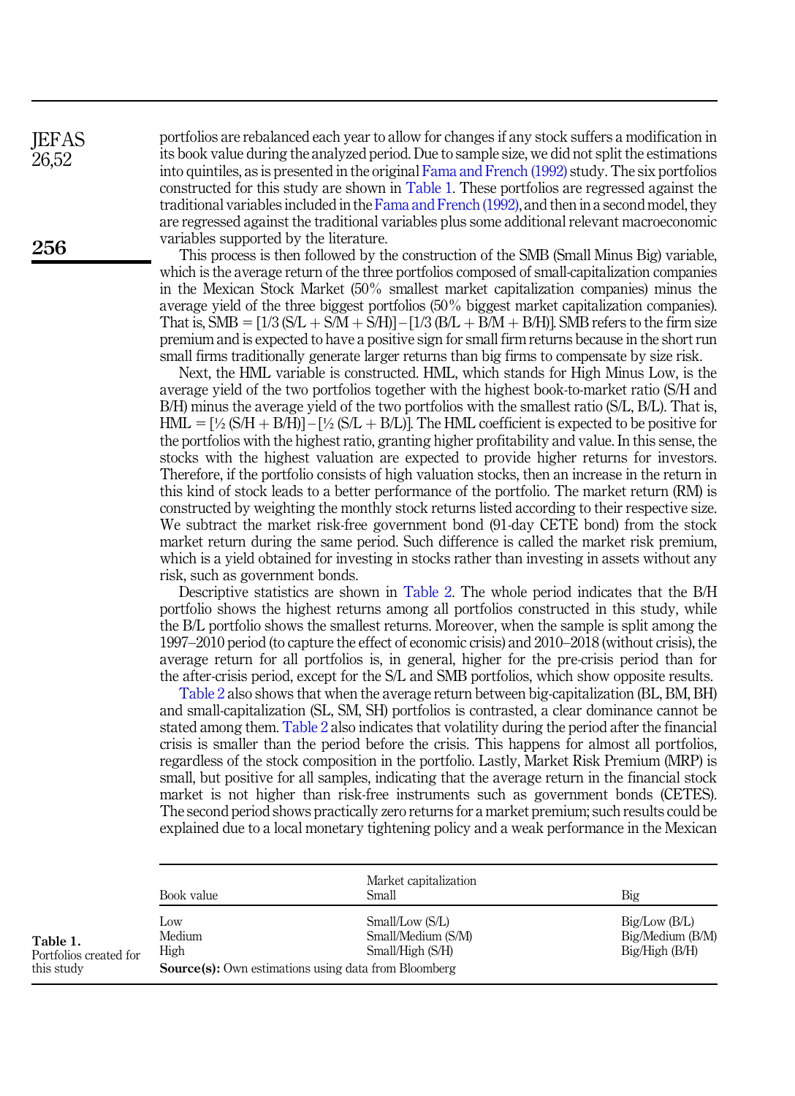**IEFAS** 26,52

portfolios are rebalanced each year to allow for changes if any stock suffers a modification in its book value during the analyzed period. Due to sample size, we did not split the estimations into quintiles, as is presented in the original [Fama and French \(1992\)](#page-14-6) study. The six portfolios constructed for this study are shown in Table 1. These portfolios are regressed against the traditional variables included in the [Fama and French \(1992\)](#page-14-6), and then in a second model, they are regressed against the traditional variables plus some additional relevant macroeconomic variables supported by the literature.

This process is then followed by the construction of the SMB (Small Minus Big) variable, which is the average return of the three portfolios composed of small-capitalization companies in the Mexican Stock Market (50% smallest market capitalization companies) minus the average yield of the three biggest portfolios (50% biggest market capitalization companies). That is, SMB =  $[1/3(S/L + S/M + S/H)] - [1/3(B/L + B/M + B/H)]$ . SMB refers to the firm size premium and is expected to have a positive sign for small firm returns because in the short run small firms traditionally generate larger returns than big firms to compensate by size risk.

Next, the HML variable is constructed. HML, which stands for High Minus Low, is the average yield of the two portfolios together with the highest book-to-market ratio (S/H and B/H) minus the average yield of the two portfolios with the smallest ratio (S/L, B/L). That is,  $HML = [\frac{1}{2} (S/H + B/H)] - [\frac{1}{2} (S/L + B/L)]$ . The HML coefficient is expected to be positive for the portfolios with the highest ratio, granting higher profitability and value. In this sense, the stocks with the highest valuation are expected to provide higher returns for investors. Therefore, if the portfolio consists of high valuation stocks, then an increase in the return in this kind of stock leads to a better performance of the portfolio. The market return (RM) is constructed by weighting the monthly stock returns listed according to their respective size. We subtract the market risk-free government bond (91-day CETE bond) from the stock market return during the same period. Such difference is called the market risk premium, which is a yield obtained for investing in stocks rather than investing in assets without any risk, such as government bonds.

Descriptive statistics are shown in [Table 2](#page-5-0). The whole period indicates that the B/H portfolio shows the highest returns among all portfolios constructed in this study, while the B/L portfolio shows the smallest returns. Moreover, when the sample is split among the 1997–2010 period (to capture the effect of economic crisis) and 2010–2018 (without crisis), the average return for all portfolios is, in general, higher for the pre-crisis period than for the after-crisis period, except for the S/L and SMB portfolios, which show opposite results.

[Table 2](#page-5-0) also shows that when the average return between big-capitalization (BL, BM, BH) and small-capitalization (SL, SM, SH) portfolios is contrasted, a clear dominance cannot be stated among them. [Table 2](#page-5-0) also indicates that volatility during the period after the financial crisis is smaller than the period before the crisis. This happens for almost all portfolios, regardless of the stock composition in the portfolio. Lastly, Market Risk Premium (MRP) is small, but positive for all samples, indicating that the average return in the financial stock market is not higher than risk-free instruments such as government bonds (CETES). The second period shows practically zero returns for a market premium; such results could be explained due to a local monetary tightening policy and a weak performance in the Mexican

|                                                  | Book value            | Market capitalization<br>Small                                                                                           | Big                                                      |
|--------------------------------------------------|-----------------------|--------------------------------------------------------------------------------------------------------------------------|----------------------------------------------------------|
| Table 1.<br>Portfolios created for<br>this study | LOW<br>Medium<br>High | Small/Low (S/L)<br>Small/Medium (S/M)<br>Small/High (S/H)<br><b>Source(s):</b> Own estimations using data from Bloomberg | Big/Low(B/L)<br>Big/Medium (B/M)<br>$Big/High$ ( $B/H$ ) |

256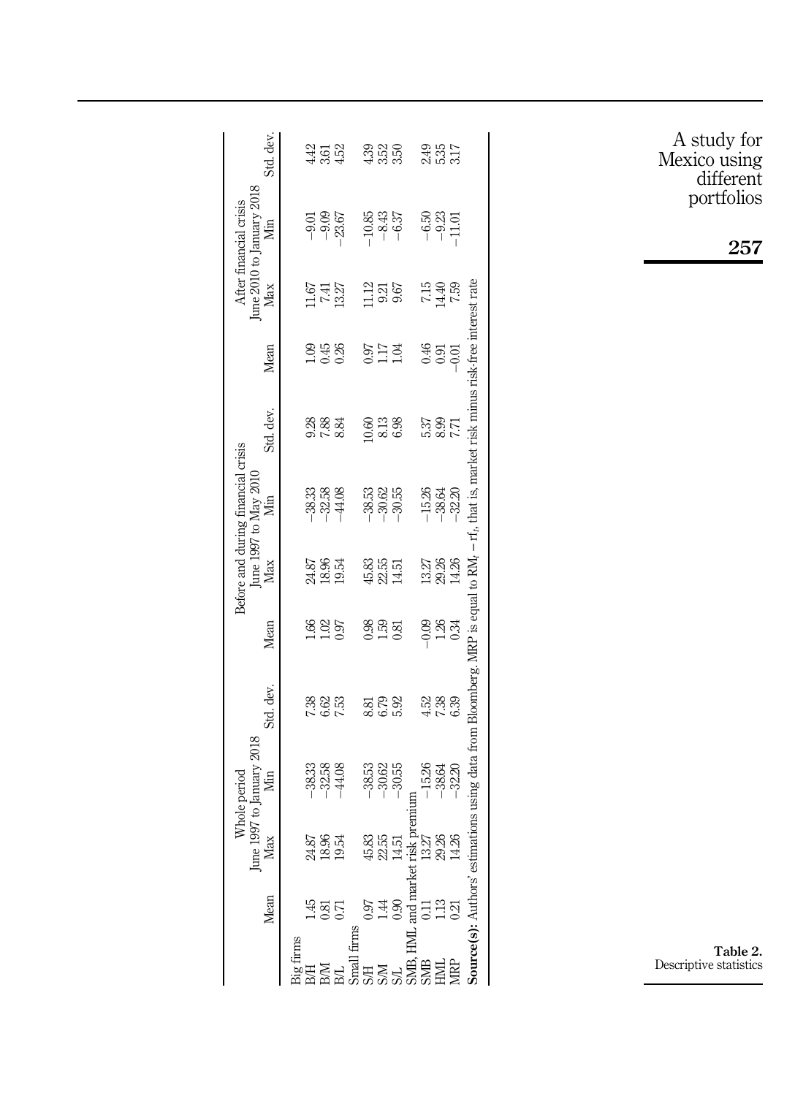<span id="page-5-0"></span>

|          |                                   |                                                                                                                                             | Whole period                     |                      |                    |                         | Before and during financial crisis |                                                                                                                                          |                     |                        | June 2010 to January 2018<br>After financial crisis |                     |
|----------|-----------------------------------|---------------------------------------------------------------------------------------------------------------------------------------------|----------------------------------|----------------------|--------------------|-------------------------|------------------------------------|------------------------------------------------------------------------------------------------------------------------------------------|---------------------|------------------------|-----------------------------------------------------|---------------------|
|          | Mean                              | Max<br>June                                                                                                                                 | 1997 to January 2018<br>Min      | Std. dev.            | Mean               | Max                     | June 1997 to May 2010<br>Min       | Std. dev.                                                                                                                                | Mean                | Max                    | Min                                                 | Std. dev            |
| ig firms |                                   |                                                                                                                                             |                                  |                      |                    |                         |                                    |                                                                                                                                          |                     |                        |                                                     |                     |
|          |                                   |                                                                                                                                             |                                  |                      |                    |                         |                                    |                                                                                                                                          |                     |                        |                                                     |                     |
|          | 1807                              | 24.87<br>18.954<br>19.54                                                                                                                    | $-33.38$<br>$-32.44$<br>$-1$     | 23<br>23<br>25<br>25 | 1.62<br>1.037      | 24.87<br>19.54<br>19.54 | $-38.33$<br>$-32.38$<br>$-44.08$   | 83<br>83<br>83                                                                                                                           | 음 15 X<br>- 이 36    |                        | $-9.01$<br>$-9.09$<br>$-23.67$                      | 43<br>35<br>43      |
|          |                                   |                                                                                                                                             |                                  |                      |                    |                         |                                    |                                                                                                                                          |                     | 11.67<br>7.41<br>13.27 |                                                     |                     |
| firms    |                                   |                                                                                                                                             |                                  |                      |                    |                         |                                    |                                                                                                                                          |                     |                        |                                                     |                     |
|          |                                   |                                                                                                                                             |                                  |                      | $0.38$<br>$0.53$   | 45.83<br>22.51<br>14.51 | 33<br>38<br>- 30<br>- 30<br>-      |                                                                                                                                          | <b>BELE</b><br>2111 | $\frac{1386}{960}$     | $-10.85$<br>$-8.43$<br>$-6.37$                      |                     |
|          |                                   |                                                                                                                                             | $38.335$<br>$38.335$<br>$-1$     | ಪ್ರ ದಿ<br>ಇಂ.ಎ       |                    |                         |                                    | 0.63<br>0.53<br>0.83                                                                                                                     |                     |                        |                                                     | 83 63 63<br>4 63 63 |
|          |                                   |                                                                                                                                             |                                  |                      |                    |                         |                                    |                                                                                                                                          |                     |                        |                                                     |                     |
|          |                                   |                                                                                                                                             |                                  |                      |                    |                         |                                    |                                                                                                                                          |                     |                        |                                                     |                     |
|          |                                   |                                                                                                                                             |                                  |                      |                    |                         |                                    |                                                                                                                                          |                     |                        |                                                     |                     |
|          |                                   | S/H 0.97 45,83<br>S/M 1.44 22,55<br>S/L 0.90 14,51<br>S/MB, HML and market risk pre<br>S/MB 0.11 13,27<br>S/ML 1.13 29,26<br>HML 1.13 29,26 | $-15.26$<br>$-38.64$<br>$-32.20$ | 23 83 93<br>4 1 2 93 | $-0.34$<br>$-0.34$ | 13.27<br>29.26<br>14.26 | $-15.26$<br>$-38.64$<br>$-32.20$   | 12 8 9<br>28 9                                                                                                                           |                     | 7.15<br>04.41<br>7.59  | $-6,50$<br>$-9,23$<br>$-1.01$                       | 355<br>2557         |
|          |                                   |                                                                                                                                             |                                  |                      |                    |                         |                                    |                                                                                                                                          |                     |                        |                                                     |                     |
|          | <b>Source(s):</b> Authors' estim- |                                                                                                                                             |                                  |                      |                    |                         |                                    | ations using data from Bloomberg. MRP is equal to RM <sub>1</sub> – rf <sub>1</sub> , that is, market risk minus risk-free interest rate |                     |                        |                                                     |                     |
|          |                                   |                                                                                                                                             |                                  |                      |                    |                         |                                    |                                                                                                                                          |                     |                        |                                                     |                     |

A study for Mexico using different portfolios

257

Table 2. Descriptive statistics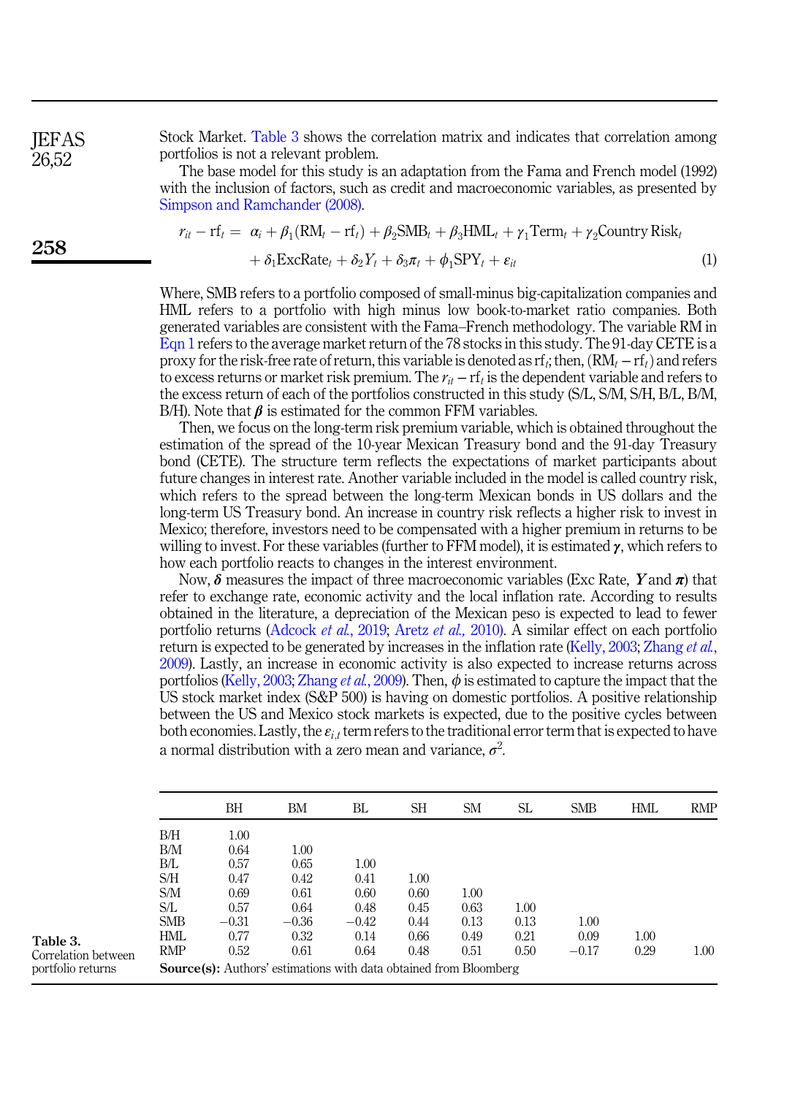**IEFAS** 26,52

Stock Market. Table 3 shows the correlation matrix and indicates that correlation among portfolios is not a relevant problem.

<span id="page-6-0"></span>The base model for this study is an adaptation from the Fama and French model (1992) with the inclusion of factors, such as credit and macroeconomic variables, as presented by [Simpson and Ramchander \(2008\)](#page-14-17).

$$
r_{it} - rf_t = \alpha_i + \beta_1 (RM_t - rf_t) + \beta_2 SMB_t + \beta_3 HML_t + \gamma_1 Term_t + \gamma_2 Country Risk_t + \delta_1 ExcRate_t + \delta_2 Y_t + \delta_3 \pi_t + \phi_1 SPY_t + \varepsilon_{it}
$$
(1)

Where, SMB refers to a portfolio composed of small-minus big-capitalization companies and HML refers to a portfolio with high minus low book-to-market ratio companies. Both generated variables are consistent with the Fama–French methodology. The variable RM in  $\mathrm{Eq}$ n 1 refers to the average market return of the 78 stocks in this study. The 91-day CETE is a HML refers to a portfolio with high minus low book-to-market ratio companies. Both generated variables are consistent with the Fama–French methodology. The variable RM in Eqn 1 refers to the average market return of the 7 proxy for the risk-free rate of return, this variable is denoted as rf<sub>i</sub>; then,  $(RM_t - rf_t)$  and refers to excess returns or market risk premium. The  $r_{it} - rf_t$  is the dependent variable and refers to the excess return of each of the portfolios constructed in this study (S/L, S/M, S/H, B/L, B/M, B/H). Note that  $\beta$  is estimated for the common FFM variables.

Then, we focus on the long-term risk premium variable, which is obtained throughout the estimation of the spread of the 10-year Mexican Treasury bond and the 91-day Treasury bond (CETE). The structure term reflects the expectations of market participants about future changes in interest rate. Another variable included in the model is called country risk, which refers to the spread between the long-term Mexican bonds in US dollars and the long-term US Treasury bond. An increase in country risk reflects a higher risk to invest in Mexico; therefore, investors need to be compensated with a higher premium in returns to be willing to invest. For these variables (further to FFM model), it is estimated  $\gamma$ , which refers to how each portfolio reacts to changes in the interest environment.

Now,  $\delta$  measures the impact of three macroeconomic variables (Exc Rate, Y and  $\pi$ ) that refer to exchange rate, economic activity and the local inflation rate. According to results obtained in the literature, a depreciation of the Mexican peso is expected to lead to fewer portfolio returns ([Adcock](#page-14-2) et al., 2019; [Aretz](#page-14-12) et al., 2010). A similar effect on each portfolio return is expected to be generated by increases in the inflation rate ([Kelly, 2003;](#page-14-18) [Zhang](#page-15-4) *et al.*, [2009\)](#page-15-4). Lastly, an increase in economic activity is also expected to increase returns across portfolios ([Kelly, 2003](#page-14-18); [Zhang](#page-15-4) *et al.*, 2009). Then,  $\phi$  is estimated to capture the impact that the US stock market index (S&P 500) is having on domestic portfolios. A positive relationship between the US and Mexico stock markets is expected, due to the positive cycles between both economies. Lastly, the  $\varepsilon_{i,t}$  term refers to the traditional error term that is expected to have a normal distribution with a zero mean and variance,  $\sigma^2$ . .

|                                                      |                                       | ВH                                                                                                  | ΒM                                       | BL                           | SН                   | <b>SM</b>            | SL                   | <b>SMB</b>              | HML          | <b>RMP</b> |
|------------------------------------------------------|---------------------------------------|-----------------------------------------------------------------------------------------------------|------------------------------------------|------------------------------|----------------------|----------------------|----------------------|-------------------------|--------------|------------|
|                                                      | B/H<br>B/M<br>ВÆ<br>S/H<br>S/M<br>S/L | 1.00<br>0.64<br>0.57<br>0.47<br>0.69<br>0.57                                                        | $1.00\,$<br>0.65<br>0.42<br>0.61<br>0.64 | 1.00<br>0.41<br>0.60<br>0.48 | 1.00<br>0.60<br>0.45 | 1.00<br>0.63         | 1.00                 |                         |              |            |
| Table 3.<br>Correlation between<br>portfolio returns | <b>SMB</b><br>HML<br><b>RMP</b>       | $-0.31$<br>0.77<br>0.52<br><b>Source(s):</b> Authors' estimations with data obtained from Bloomberg | $-0.36$<br>0.32<br>0.61                  | $-0.42$<br>0.14<br>0.64      | 0.44<br>0.66<br>0.48 | 0.13<br>0.49<br>0.51 | 0.13<br>0.21<br>0.50 | 1.00<br>0.09<br>$-0.17$ | 1.00<br>0.29 | 1.00       |

258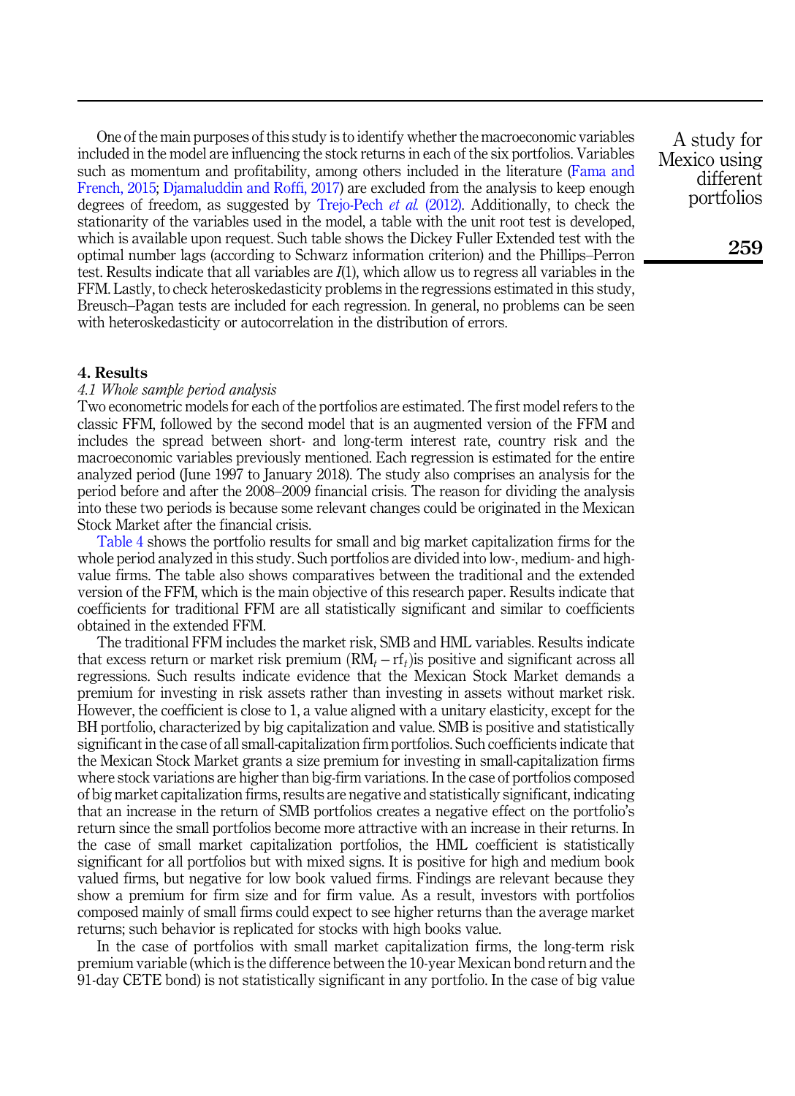One of the main purposes of this study is to identify whether the macroeconomic variables included in the model are influencing the stock returns in each of the six portfolios. Variables such as momentum and profitability, among others included in the literature ([Fama and](#page-14-13) [French, 2015;](#page-14-13) [Djamaluddin and Roffi, 2017\)](#page-14-5) are excluded from the analysis to keep enough degrees of freedom, as suggested by [Trejo-Pech](#page-15-3) et al. (2012). Additionally, to check the stationarity of the variables used in the model, a table with the unit root test is developed, which is available upon request. Such table shows the Dickey Fuller Extended test with the optimal number lags (according to Schwarz information criterion) and the Phillips–Perron test. Results indicate that all variables are  $I(1)$ , which allow us to regress all variables in the FFM. Lastly, to check heteroskedasticity problems in the regressions estimated in this study, Breusch–Pagan tests are included for each regression. In general, no problems can be seen with heteroskedasticity or autocorrelation in the distribution of errors.

A study for Mexico using different portfolios

259

#### <span id="page-7-0"></span>4. Results

# 4.1 Whole sample period analysis

Two econometric models for each of the portfolios are estimated. The first model refers to the classic FFM, followed by the second model that is an augmented version of the FFM and includes the spread between short- and long-term interest rate, country risk and the macroeconomic variables previously mentioned. Each regression is estimated for the entire analyzed period (June 1997 to January 2018). The study also comprises an analysis for the period before and after the 2008–2009 financial crisis. The reason for dividing the analysis into these two periods is because some relevant changes could be originated in the Mexican Stock Market after the financial crisis.

[Table 4](#page-8-0) shows the portfolio results for small and big market capitalization firms for the whole period analyzed in this study. Such portfolios are divided into low-, medium- and highvalue firms. The table also shows comparatives between the traditional and the extended version of the FFM, which is the main objective of this research paper. Results indicate that coefficients for traditional FFM are all statistically significant and similar to coefficients obtained in the extended FFM.

The traditional FFM includes the market risk, SMB and HML variables. Results indicate that excess return or market risk premium  $(RM_t - rf_t)$  is positive and significant across all regressions. Such results indicate evidence that the Mexican Stock Market demands a premium for investing in risk assets rather than investing in assets without market risk. However, the coefficient is close to 1, a value aligned with a unitary elasticity, except for the BH portfolio, characterized by big capitalization and value. SMB is positive and statistically significant in the case of all small-capitalization firm portfolios. Such coefficients indicate that the Mexican Stock Market grants a size premium for investing in small-capitalization firms where stock variations are higher than big-firm variations. In the case of portfolios composed of big market capitalization firms, results are negative and statistically significant, indicating that an increase in the return of SMB portfolios creates a negative effect on the portfolio's return since the small portfolios become more attractive with an increase in their returns. In the case of small market capitalization portfolios, the HML coefficient is statistically significant for all portfolios but with mixed signs. It is positive for high and medium book valued firms, but negative for low book valued firms. Findings are relevant because they show a premium for firm size and for firm value. As a result, investors with portfolios composed mainly of small firms could expect to see higher returns than the average market returns; such behavior is replicated for stocks with high books value.

In the case of portfolios with small market capitalization firms, the long-term risk premium variable (which is the difference between the 10-year Mexican bond return and the 91-day CETE bond) is not statistically significant in any portfolio. In the case of big value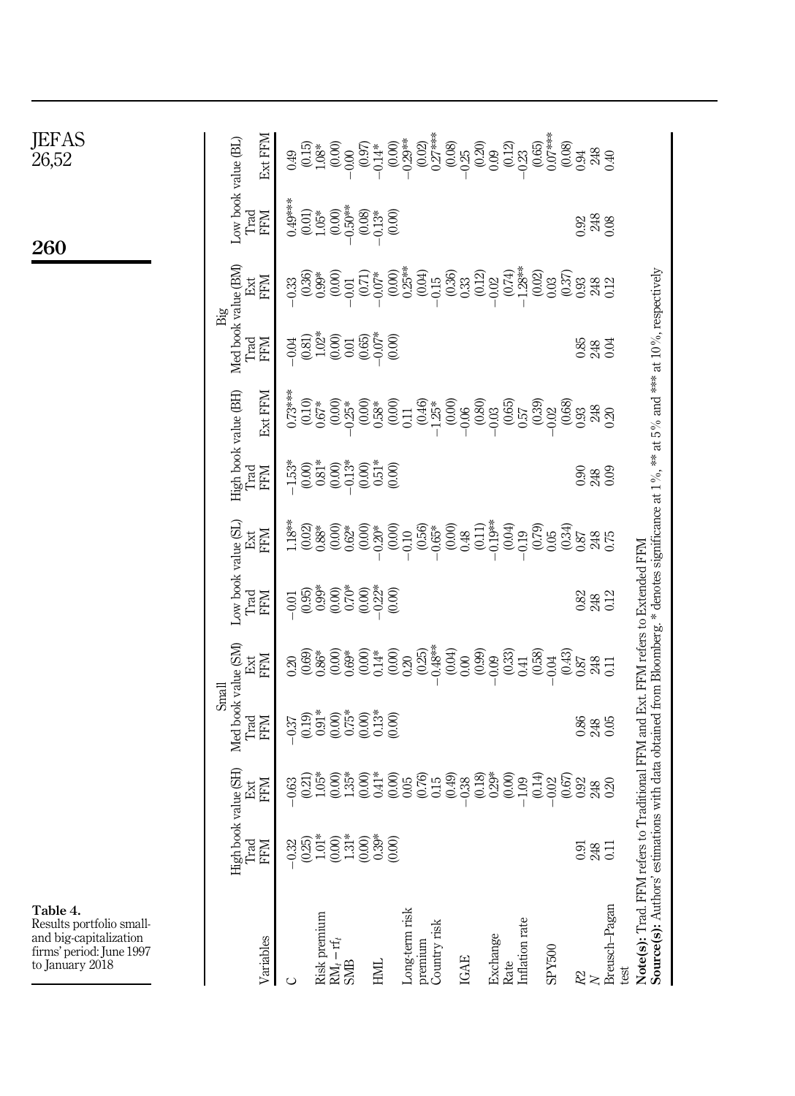<span id="page-8-0"></span>

| JEFAS<br>26,52                                                                                                | Ext FFIV                                           | $\begin{array}{l} 349 \\[-4pt] 0.000 \\[-4pt] 0.000 \\[-4pt] 0.000 \\[-4pt] 0.000 \\[-4pt] 0.000 \\[-4pt] 0.000 \\[-4pt] 0.000 \\[-4pt] 0.000 \\[-4pt] 0.000 \\[-4pt] 0.000 \\[-4pt] 0.000 \\[-4pt] 0.000 \\[-4pt] 0.000 \\[-4pt] 0.000 \\[-4pt] 0.000 \\[-4pt] 0.000 \\[-4pt] 0.000 \\[-4pt] 0.000 \\[-4pt] 0.000$<br>$\frac{248}{40}$                                                                                                           |
|---------------------------------------------------------------------------------------------------------------|----------------------------------------------------|---------------------------------------------------------------------------------------------------------------------------------------------------------------------------------------------------------------------------------------------------------------------------------------------------------------------------------------------------------------------------------------------------------------------------------------------------|
| 260                                                                                                           | Low book value (BL)<br>Trad<br><b>NHN</b>          | $0.49***$<br>(0.01)<br>1.05*<br>$\begin{array}{c} (0.00) \\ -0.50^{***} \\ (0.08) \\ -0.13^{*} \\ (0.00) \end{array}$<br>$\begin{array}{c} 248 \\ 0.08 \end{array}$<br>0.92                                                                                                                                                                                                                                                                       |
|                                                                                                               | <b>NHA</b><br>Ext                                  | $-0.07*$<br>$-0.000*$<br>$-0.04*$<br>$-0.05*$<br>$-0.05*$<br>$-0.33*$<br>$\begin{array}{c} (0.12)\\ 0.02\\ 0.74)\\ 1.28^{**}\\ 0.02 \end{array}$<br>$\begin{array}{c} 0.33 \\ 0.36 \\ 0.99^* \\ 0.00 \\ 0.01 \\ 0.71 \end{array}$<br>$0.03$<br>$(0.37)$<br>0.93<br>248<br>0.12                                                                                                                                                                    |
|                                                                                                               | Med book value (BM)<br>Big<br>Trad<br><b>KEM</b>   | 0.85<br>$248$<br>0.04                                                                                                                                                                                                                                                                                                                                                                                                                             |
|                                                                                                               | Ext FFM                                            | $\begin{array}{c} 0.73*** \\ (0.10) \\ 0.67* \end{array}$<br>(0.00)<br>$\begin{array}{l} (0.25)\\ -0.25\\ 0.60\\ 0.58\\ 0.00\\ 0.11\\ 0.00\\ 0.01\\ -1.25\\ 0.00\\ 0.00\\ 0.00\\ 0.00\\ 0.00\\ 0.00\\ 0.00\\ 0.00\\ 0.00\\ 0.00\\ 0.00\\ 0.00\\ 0.00\\ 0.00\\ 0.00\\ 0.00\\ 0.00\\ 0.00\\ 0.00\\ 0.00\\ 0.00\\ 0.00\\ 0.00\\ 0.00\\ 0.00\\ 0.00\\ 0$<br>$_{0.02}^{0.02}$<br>$\frac{248}{0.20}$                                                    |
|                                                                                                               | High book value (BH)<br>Trad<br><b>NEN</b>         | $-1.53$<br>$-0.00$<br>$0.81$<br>$-0.00$<br>$0.00$<br>248<br>0.90                                                                                                                                                                                                                                                                                                                                                                                  |
|                                                                                                               | <b>NHA</b><br>Ext                                  | $-0.19**$<br>$1.18**$<br>$^{(0.00)}_{0.48}$<br>(0.11)<br>(0.04)<br>$(0.56)$<br>$-0.65*$<br>$\underset{0.88^{\ast}}{0.02}$<br>$(0.00)$<br>$0.62*$<br>$-0.20*$<br>$-0.200*$<br>(0.79)<br>(0.34)<br>$-0.19$<br>$-0.10$<br>0.05<br>0.87<br>248<br>0.75                                                                                                                                                                                                |
|                                                                                                               | Low book value (SL)<br>Trad<br><b>NHH</b>          | to Traditional FFM and Ext. FFM refers to Extended FFM<br>$\frac{82}{33}$                                                                                                                                                                                                                                                                                                                                                                         |
|                                                                                                               | <b>MHA</b><br>Ext                                  | $\begin{array}{c} 0.00\\ 0.69^*\\ 0.00\\ 0.14^*\\ 0.00\\ 0.20\\ 0.25\\ 0.25^*\\ -0.48^{**}\\ \end{array}$<br>$^{(0.04)}_{0.00}$<br>$(0.99)$<br>$(0.03)$<br>(0.58)<br>$0.20$<br>$(0.69)$<br>$0.86*$<br>$-0.04$<br>$(0.43)$<br>$0.87$<br>$248$ $0.11$                                                                                                                                                                                               |
|                                                                                                               | Med book value (SM)<br>Small<br>Trad<br><b>FFM</b> | $\begin{array}{c} 0.00 \\ 0.75^* \\ 0.00 \end{array}$<br>$-0.37$<br>$(0.19)$<br>$0.91*$<br>$\begin{array}{c} .3* \\ 0.00 \end{array}$<br>8885                                                                                                                                                                                                                                                                                                     |
|                                                                                                               |                                                    | $^{(0.18)}_{0.29*}$<br>$(0.00)$<br>$(0.35)$<br>$(0.00)$<br>$(0.00)$<br>$(0.00)$<br>$(0.00)$<br>$(0.00)$<br>$(0.00)$<br>$-1.09$<br>$(0.14)$<br>(0.00)<br>$\underset{1.05^*}{\scriptstyle (0.21)}$<br>$-0.02$<br>$(0.67)$<br>0.92<br>0.63<br>248<br>0.20                                                                                                                                                                                            |
|                                                                                                               | High book value (SH)<br>Trad Ext<br>FFM FFM        | 0.91<br>248                                                                                                                                                                                                                                                                                                                                                                                                                                       |
| Table 4.<br>Results portfolio small-<br>and big-capitalization<br>firms' period: June 1997<br>to January 2018 | Variables                                          | <b>Source(s):</b> Authors' estimations with data obtained from Bloomberg.* denotes significance at 1%, ** at 5% and *** at 10%, respectively<br>Note(s): Trad. FFM refers<br>Breusch-Pagan<br>Long-term risk<br>Risk premium<br>Inflation rate<br>Country risk<br>Exchange<br>Rate<br>premium<br>$\begin{array}{lcl} \text{RM}_t-\text{rf}_t\\ \text{SMB} \end{array}$<br>SPY500<br>IGAE<br><b>NH</b><br>test<br>$\stackrel{22}{\sim}$<br>$\circ$ |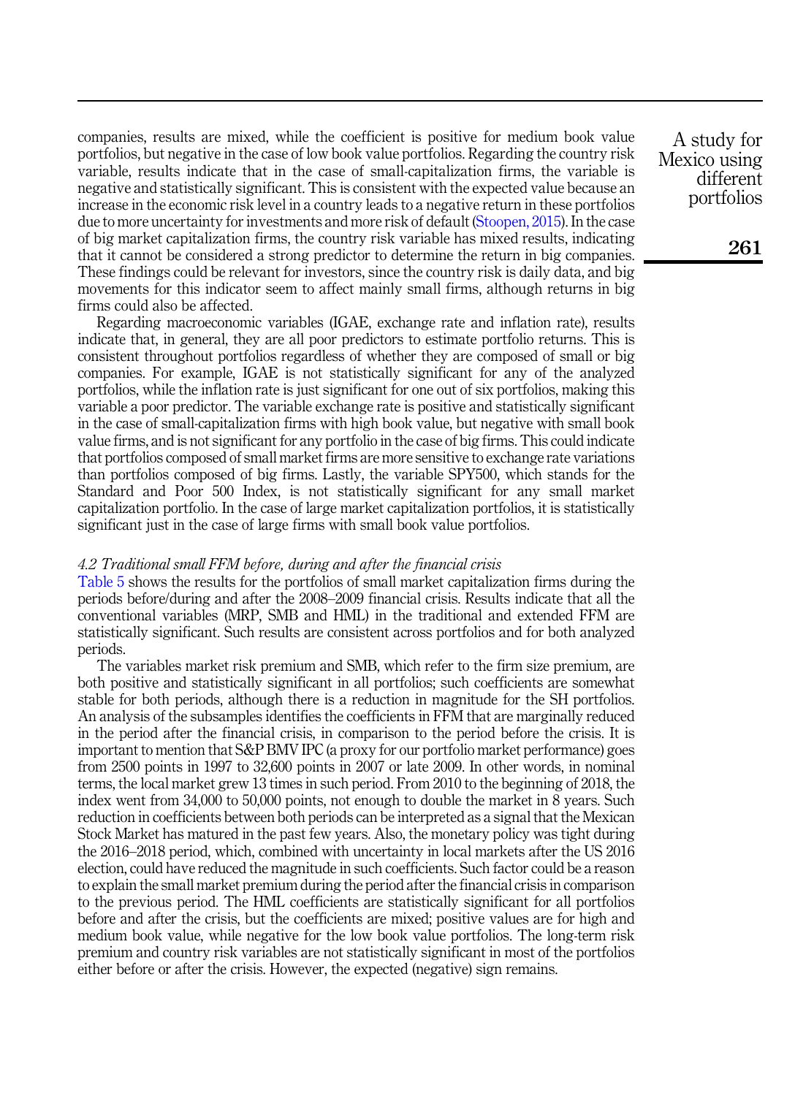companies, results are mixed, while the coefficient is positive for medium book value portfolios, but negative in the case of low book value portfolios. Regarding the country risk variable, results indicate that in the case of small-capitalization firms, the variable is negative and statistically significant. This is consistent with the expected value because an increase in the economic risk level in a country leads to a negative return in these portfolios due to more uncertainty for investments and more risk of default ([Stoopen, 2015](#page-15-5)). In the case of big market capitalization firms, the country risk variable has mixed results, indicating that it cannot be considered a strong predictor to determine the return in big companies. These findings could be relevant for investors, since the country risk is daily data, and big movements for this indicator seem to affect mainly small firms, although returns in big firms could also be affected.

Regarding macroeconomic variables (IGAE, exchange rate and inflation rate), results indicate that, in general, they are all poor predictors to estimate portfolio returns. This is consistent throughout portfolios regardless of whether they are composed of small or big companies. For example, IGAE is not statistically significant for any of the analyzed portfolios, while the inflation rate is just significant for one out of six portfolios, making this variable a poor predictor. The variable exchange rate is positive and statistically significant in the case of small-capitalization firms with high book value, but negative with small book value firms, and is not significant for any portfolio in the case of big firms. This could indicate that portfolios composed of small market firms are more sensitive to exchange rate variations than portfolios composed of big firms. Lastly, the variable SPY500, which stands for the Standard and Poor 500 Index, is not statistically significant for any small market capitalization portfolio. In the case of large market capitalization portfolios, it is statistically significant just in the case of large firms with small book value portfolios.

#### 4.2 Traditional small FFM before, during and after the financial crisis

[Table 5](#page-10-0) shows the results for the portfolios of small market capitalization firms during the periods before/during and after the 2008–2009 financial crisis. Results indicate that all the conventional variables (MRP, SMB and HML) in the traditional and extended FFM are statistically significant. Such results are consistent across portfolios and for both analyzed periods.

The variables market risk premium and SMB, which refer to the firm size premium, are both positive and statistically significant in all portfolios; such coefficients are somewhat stable for both periods, although there is a reduction in magnitude for the SH portfolios. An analysis of the subsamples identifies the coefficients in FFM that are marginally reduced in the period after the financial crisis, in comparison to the period before the crisis. It is important to mention that S&P BMV IPC (a proxy for our portfolio market performance) goes from 2500 points in 1997 to 32,600 points in 2007 or late 2009. In other words, in nominal terms, the local market grew 13 times in such period. From 2010 to the beginning of 2018, the index went from 34,000 to 50,000 points, not enough to double the market in 8 years. Such reduction in coefficients between both periods can be interpreted as a signal that the Mexican Stock Market has matured in the past few years. Also, the monetary policy was tight during the 2016–2018 period, which, combined with uncertainty in local markets after the US 2016 election, could have reduced the magnitude in such coefficients. Such factor could be a reason to explain the small market premium during the period after the financial crisis in comparison to the previous period. The HML coefficients are statistically significant for all portfolios before and after the crisis, but the coefficients are mixed; positive values are for high and medium book value, while negative for the low book value portfolios. The long-term risk premium and country risk variables are not statistically significant in most of the portfolios either before or after the crisis. However, the expected (negative) sign remains.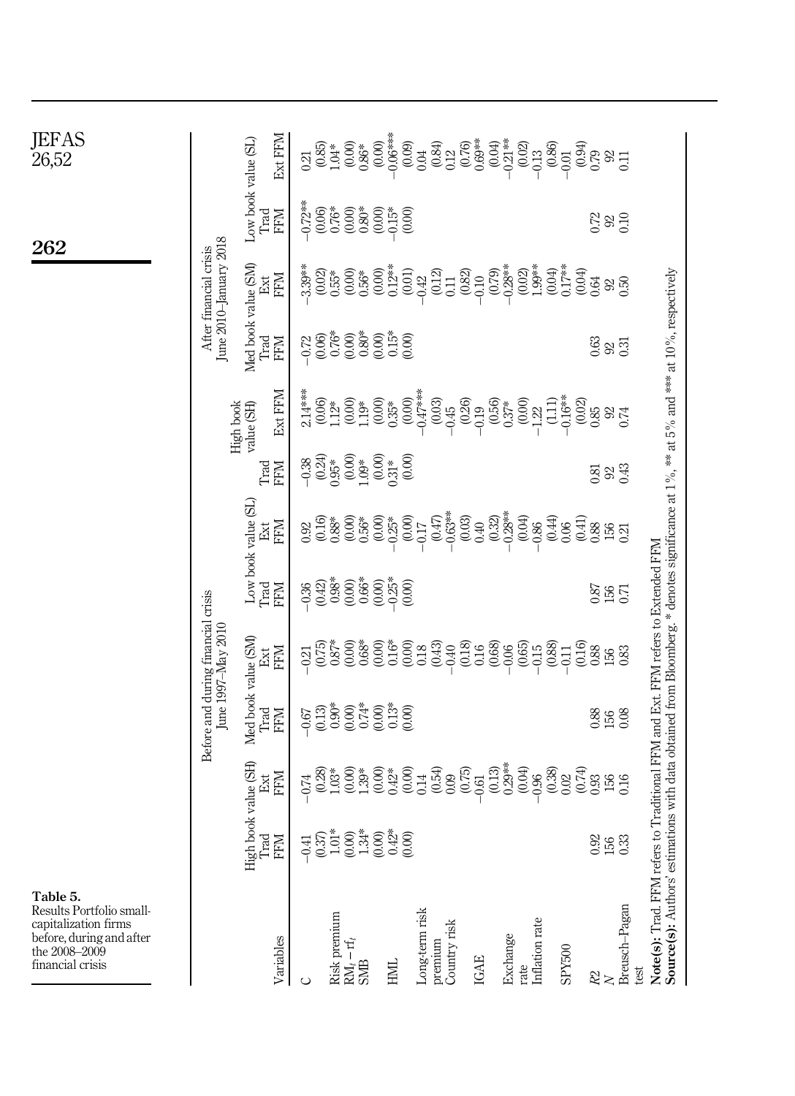<span id="page-10-0"></span>

| JEFAS<br><i>2</i> 6,52                                                                                                        |                                                  | Ext FFM<br>Low book value (SL)            | $\begin{array}{c} (0.00) \\ 0.86^* \\ (0.00) \\ (0.00) \\ (0.09) \\ (0.09) \\ (0.01) \\ (0.01) \\ (0.01) \\ (0.01) \\ (0.01) \\ (0.02) \\ (0.03) \\ (0.01) \\ (0.01) \\ (0.02) \\ (0.03) \\ (0.01) \\ (0.01) \\ (0.03) \\ (0.01) \\ (0.01) \\ (0.01) \\ (0.01) \\ (0.02) \\ (0.03) \\ (0.03) \\ (0.03) \\ (0.03) \\ (0.03) \\ (0$<br>$\begin{array}{l} (0.84)\\ 0.12\\ 0.16\\ 0.63\\ 0.63\\ 0.04\\ 0.021\\ 0.03\\ 0.03\\ 0.04\\ 0.03\\ 0.04\\ 0.04\\ 0.04\\ 0.04\\ 0.04\\ 0.04\\ 0.01\\ 0.01\\ 0.01\\ 0.01\\ 0.01\\ 0.01\\ 0.01\\ 0.01\\ 0.01\\ 0.01\\ 0.01\\ 0.01\\ 0.01\\ 0.01\\ 0.02\\ 0.03\\ 0.03\\ 0.03\\ $<br>$\begin{array}{c} 0.21 \\ 0.85 \\ 1.04* \end{array}$<br>$0.34$<br>$0.79$<br>$0.31$<br>$0.11$ |                                                                                                                         |
|-------------------------------------------------------------------------------------------------------------------------------|--------------------------------------------------|-------------------------------------------|------------------------------------------------------------------------------------------------------------------------------------------------------------------------------------------------------------------------------------------------------------------------------------------------------------------------------------------------------------------------------------------------------------------------------------------------------------------------------------------------------------------------------------------------------------------------------------------------------------------------------------------------------------------------------------------------------------------|-------------------------------------------------------------------------------------------------------------------------|
| 262                                                                                                                           |                                                  | <b>FFM</b><br>Trad                        | (0.00)<br>289<br>CO                                                                                                                                                                                                                                                                                                                                                                                                                                                                                                                                                                                                                                                                                              |                                                                                                                         |
|                                                                                                                               | June 2010-January 2018<br>After financial crisis | <b>NHA</b><br>Ext                         | $\begin{array}{l} 0.02\\ 0.53\\ 0.63\\ 0.65\\ 0.66\\ 0.67\\ 0.67\\ 0.67\\ 0.68\\ 0.68\\ 0.68\\ 0.68\\ 0.68\\ 0.68\\ 0.68\\ 0.68\\ 0.68\\ 0.68\\ 0.68\\ 0.68\\ 0.68\\ 0.68\\ 0.68\\ 0.68\\ 0.68\\ 0.68\\ 0.68\\ 0.68\\ 0.68\\ 0.68\\ 0.68\\ 0.68\\ 0.68\\ 0.68\\ 0.68\\ 0.$<br>$-0.10$<br>$-0.28$ **<br>$-0.29$<br>$-0.29$<br>$-1.99$<br>$-1.04$<br>$-0.04$<br>$-0.04$<br>$-0.04$<br>$3.39***$<br>$^{(0,0)}_{0,0,0}$                                                                                                                                                                                                                                                                                              |                                                                                                                         |
|                                                                                                                               |                                                  | Med book value (SM)<br>Frad<br><b>NHA</b> | <b>333</b>                                                                                                                                                                                                                                                                                                                                                                                                                                                                                                                                                                                                                                                                                                       |                                                                                                                         |
|                                                                                                                               |                                                  | Ext FFM<br>High book<br>value (SH)        | $\begin{array}{l} 2.14***\\ (0.06)\\ (0.06)\\ (1.12*\\ (1.00)\\ (1.13*\\ (0.00)\\ (0.35*)\\ (0.00)\\ (0.01)\\ (0.01)\\ (0.01)\\ (0.01)\\ (0.01)\\ (0.01)\\ (0.01)\\ (0.01)\\ (0.01)\\ (0.01)\\ (0.01)\\ (0.01)\\ (0.01)\\ (0.01)\\ (0.01)\\ (0.01)\\ (0.01)\\ (0.01)\\ (0.01)\\ (0.01)\\ (0.01)\\ (0.$<br>$\begin{array}{c} (0.03) \\ -0.45 \\ -0.29 \\ -0.19 \\ 0.56 \\ 0.37^* \\ 0.37^* \\ -1.22 \\ -1.11) \\ -0.16^{***} \end{array}$<br>$\begin{array}{c} (0.02) \\ 0.85 \\ 0.85 \\ 0.74 \end{array}$                                                                                                                                                                                                        |                                                                                                                         |
|                                                                                                                               |                                                  | <b>NHA</b><br>Trad                        | $\begin{array}{l} -0.38 \\[-4pt] -0.24) \\[-4pt] 0.05* \\[-4pt] -0.09* \\[-4pt] -0.09* \\[-4pt] -0.09* \\[-4pt] -0.09* \\[-4pt] -0.09* \\[-4pt] -0.09* \\[-4pt] -0.09* \\[-4pt] -0.09* \\[-4pt] -0.09* \\[-4pt] -0.09* \\[-4pt] -0.09* \\[-4pt] -0.09* \\[-4pt] -0.09* \\[-4pt] -0.09* \\[-4pt] -0.09* \\[-4pt] -0.09* \\[-4pt] -0.09$<br>920.43<br>0.81                                                                                                                                                                                                                                                                                                                                                         |                                                                                                                         |
|                                                                                                                               |                                                  | Low book value (SL)<br><b>NHA</b>         | $\begin{array}{c} (0.47) \\ -0.63^{***} \\ 0.03 \end{array}$<br>$0.40$<br>$0.32$ )<br>$-0.28$<br>$+0.04$<br>$\begin{array}{l} 0.92 \\[-4pt] 0.16 \\[-4pt] 0.38 \\[-4pt] 0.56 \\[-4pt] 0.56 \\[-4pt] 0.56 \\[-4pt] 0.56 \\[-4pt] 0.56 \\[-4pt] 0.56 \\[-4pt] 0.56 \\[-4pt] 0.56 \\[-4pt] 0.56 \\[-4pt] 0.56 \\[-4pt] 0.56 \\[-4pt] 0.56 \\[-4pt] 0.56 \\[-4pt] 0.56 \\[-4pt] 0.56 \\[-4pt] 0.56 \\[-4pt] 0.56 \\[-4pt] 0.56 \\[-4pt] 0.$<br>$^{(0.44)}_{0.06}$<br>$\begin{array}{c} (0.41) \\ 0.88 \\ 156 \\ 0.21 \end{array}$<br>$-0.86$                                                                                                                                                                         |                                                                                                                         |
|                                                                                                                               |                                                  | Trad<br><b>NEEE</b>                       | 0.87<br>156<br>0.71                                                                                                                                                                                                                                                                                                                                                                                                                                                                                                                                                                                                                                                                                              |                                                                                                                         |
|                                                                                                                               | June 1997-May 2010                               | <b>NHA</b><br>Ext                         | $0.87*$<br>0.00<br>$0.68$<br>$0.00$<br>$0.16$<br>$0.00$<br>$0.18$<br>$\frac{16}{0.08}$<br>(0.75)<br>(0.43)<br>(0.18)<br>(0.65)<br>(0.88)<br>(0.16)<br>0.40<br>$-0.15$<br>0.06<br>0.88<br>0.11<br>0.83<br>0.21<br>156                                                                                                                                                                                                                                                                                                                                                                                                                                                                                             |                                                                                                                         |
|                                                                                                                               | Before and during financial crisis               | Med book value (SM)<br>Trad<br>KEM        | $-67$<br>$-2000$<br>$-600$<br>$-600$<br>$-600$<br>$-600$<br>$-600$<br>$-600$<br>$-600$<br>$-600$<br>88<br>158<br>16                                                                                                                                                                                                                                                                                                                                                                                                                                                                                                                                                                                              | ations with data obtained from Bloomberg.* denotes significance at $1\%$ , ** at $5\%$ and *** at $10\%$ , respectively |
|                                                                                                                               |                                                  | book value (SH)<br><b>NHA</b>             | (0.04)<br>$_{0.02}^{(0.38)}$<br>(0.74)<br>$0.93$<br>$156$<br>$0.16$<br>$0.74\,$                                                                                                                                                                                                                                                                                                                                                                                                                                                                                                                                                                                                                                  |                                                                                                                         |
|                                                                                                                               |                                                  | High bo<br>Trad<br>FFM                    | $\begin{array}{l} -0.41 \\ -0.57 \\ -0.03 \\ 0.00 \\ -0.00 \\ 0.00 \\ 0.00 \\ 0.00 \\ 0.00 \\ 0.00 \\ 0.00 \\ 0.00 \\ 0.00 \\ 0.00 \\ 0.00 \\ 0.00 \\ 0.00 \\ 0.00 \\ 0.00 \\ 0.00 \\ 0.00 \\ 0.00 \\ 0.00 \\ 0.00 \\ 0.00 \\ 0.00 \\ 0.00 \\ 0.00 \\ 0.00 \\ 0.00 \\ 0.00 \\ 0.00 \\ 0.00 \\ 0.00 \\ 0.00 \\ 0.$<br>0.92<br>156<br>0.33                                                                                                                                                                                                                                                                                                                                                                         |                                                                                                                         |
| Table 5.<br>Results Portfolio small-<br>capitalization firms<br>before, during and after<br>the 2008-2009<br>financial crisis |                                                  | Variables                                 | Breusch-Pagan<br>Long-term risk<br>Risk premium RM, $-\operatorname{rf}_t$ SMB<br>rate<br>Inflation rate<br>premium<br>Country risk<br>Exchange<br>SPY500<br>IGAE<br><b>HNH</b><br>test<br>$\stackrel{22}{\sim}$<br>$\circ$                                                                                                                                                                                                                                                                                                                                                                                                                                                                                      | Note(s): Trad. FFM refers to Traditional FFM and Ext. FFM refers to Extended FFM<br>Source(s): Authors' estim           |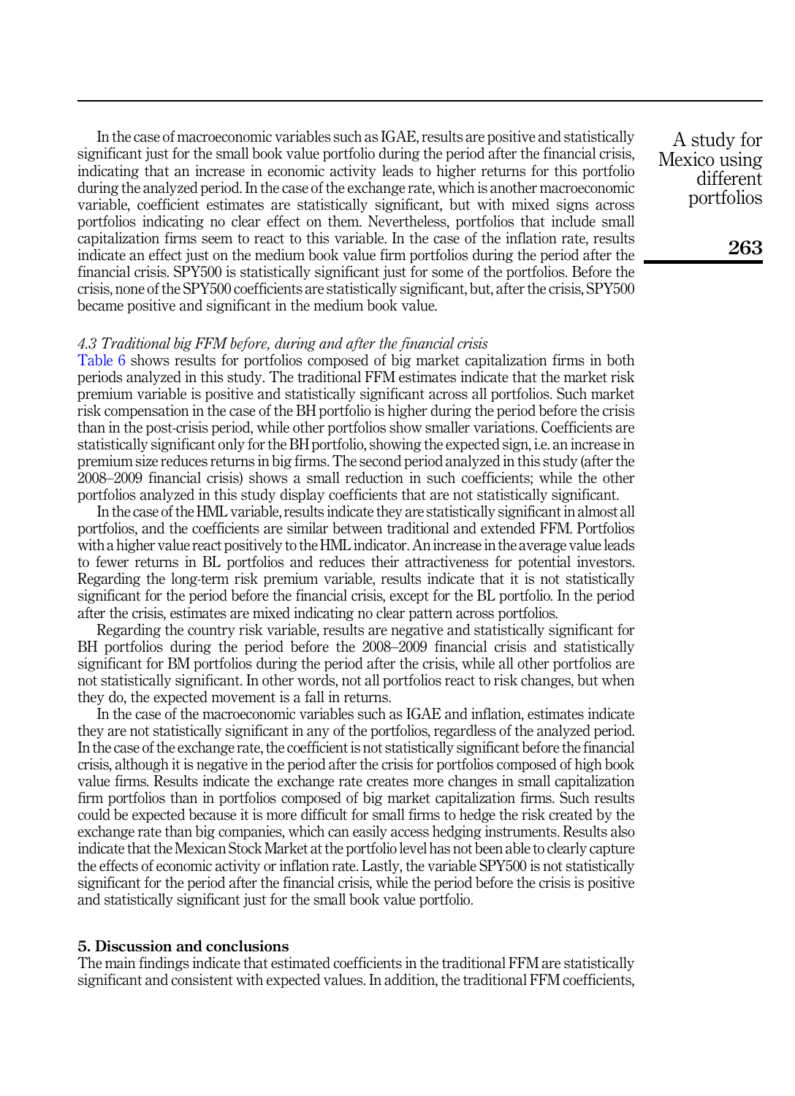In the case of macroeconomic variables such as IGAE, results are positive and statistically significant just for the small book value portfolio during the period after the financial crisis, indicating that an increase in economic activity leads to higher returns for this portfolio during the analyzed period. In the case of the exchange rate, which is another macroeconomic variable, coefficient estimates are statistically significant, but with mixed signs across portfolios indicating no clear effect on them. Nevertheless, portfolios that include small capitalization firms seem to react to this variable. In the case of the inflation rate, results indicate an effect just on the medium book value firm portfolios during the period after the financial crisis. SPY500 is statistically significant just for some of the portfolios. Before the crisis, none of the SPY500 coefficients are statistically significant, but, after the crisis, SPY500 became positive and significant in the medium book value.

## 4.3 Traditional big FFM before, during and after the financial crisis

[Table 6](#page-12-0) shows results for portfolios composed of big market capitalization firms in both periods analyzed in this study. The traditional FFM estimates indicate that the market risk premium variable is positive and statistically significant across all portfolios. Such market risk compensation in the case of the BH portfolio is higher during the period before the crisis than in the post-crisis period, while other portfolios show smaller variations. Coefficients are statistically significant only for the BH portfolio, showing the expected sign, i.e. an increase in premium size reduces returns in big firms. The second period analyzed in this study (after the 2008–2009 financial crisis) shows a small reduction in such coefficients; while the other portfolios analyzed in this study display coefficients that are not statistically significant.

In the case of the HML variable, results indicate they are statistically significant in almost all portfolios, and the coefficients are similar between traditional and extended FFM. Portfolios with a higher value react positively to the HML indicator. An increase in the average value leads to fewer returns in BL portfolios and reduces their attractiveness for potential investors. Regarding the long-term risk premium variable, results indicate that it is not statistically significant for the period before the financial crisis, except for the BL portfolio. In the period after the crisis, estimates are mixed indicating no clear pattern across portfolios.

Regarding the country risk variable, results are negative and statistically significant for BH portfolios during the period before the 2008–2009 financial crisis and statistically significant for BM portfolios during the period after the crisis, while all other portfolios are not statistically significant. In other words, not all portfolios react to risk changes, but when they do, the expected movement is a fall in returns.

In the case of the macroeconomic variables such as IGAE and inflation, estimates indicate they are not statistically significant in any of the portfolios, regardless of the analyzed period. In the case of the exchange rate, the coefficient is not statistically significant before the financial crisis, although it is negative in the period after the crisis for portfolios composed of high book value firms. Results indicate the exchange rate creates more changes in small capitalization firm portfolios than in portfolios composed of big market capitalization firms. Such results could be expected because it is more difficult for small firms to hedge the risk created by the exchange rate than big companies, which can easily access hedging instruments. Results also indicate that the Mexican Stock Market at the portfolio level has not been able to clearly capture the effects of economic activity or inflation rate. Lastly, the variable SPY500 is not statistically significant for the period after the financial crisis, while the period before the crisis is positive and statistically significant just for the small book value portfolio.

## <span id="page-11-0"></span>5. Discussion and conclusions

The main findings indicate that estimated coefficients in the traditional FFM are statistically significant and consistent with expected values. In addition, the traditional FFM coefficients,

A study for Mexico using different portfolios

263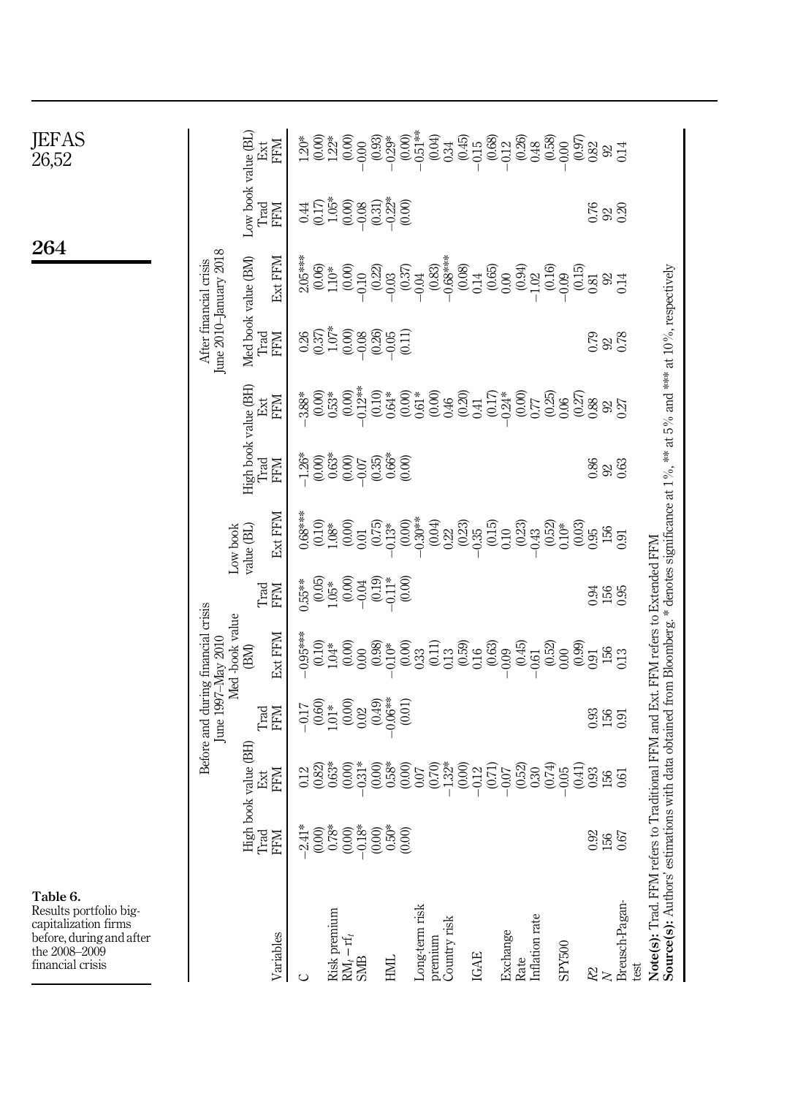<span id="page-12-0"></span>

| JEFAS<br>26,52                                                                                                              |                                                      | <b>NAH</b><br>Ext                                                                                                                                         |                                | $\begin{array}{l} \mathring{2} & \mathring{2} & \mathring{2} & \mathring{2} \\ \mathring{2} & \mathring{2} & \mathring{2} & \mathring{2} \\ \mathring{2} & \mathring{2} & \mathring{2} & \mathring{2} \\ \mathring{2} & \mathring{2} & \mathring{2} & \mathring{2} \\ \mathring{2} & \mathring{2} & \mathring{2} & \mathring{2} \\ \mathring{2} & \mathring{2} & \mathring{2} & \mathring{2} \\ \mathring{2} & \mathring{2} & \mathring{2} & \mathring{2} \\ \mathring{2} & \mathring{2} & \mathring$ |                  |                                                                                                                                                                                                                                                                                                                                                                                                           |                         |                     |                                                                                                    |                                    |                    |                |                          |                        |                                                                                                                                                                                                                             |
|-----------------------------------------------------------------------------------------------------------------------------|------------------------------------------------------|-----------------------------------------------------------------------------------------------------------------------------------------------------------|--------------------------------|-------------------------------------------------------------------------------------------------------------------------------------------------------------------------------------------------------------------------------------------------------------------------------------------------------------------------------------------------------------------------------------------------------------------------------------------------------------------------------------------------------|------------------|-----------------------------------------------------------------------------------------------------------------------------------------------------------------------------------------------------------------------------------------------------------------------------------------------------------------------------------------------------------------------------------------------------------|-------------------------|---------------------|----------------------------------------------------------------------------------------------------|------------------------------------|--------------------|----------------|--------------------------|------------------------|-----------------------------------------------------------------------------------------------------------------------------------------------------------------------------------------------------------------------------|
|                                                                                                                             |                                                      | Low book value (BL<br>Trad<br><b>NHH</b>                                                                                                                  |                                | $\begin{array}{l} 0.7578 \\ 0.00000 \\ 0.00000 \\ 0.00000 \\ 0.00000 \\ 0.00000 \\ 0.00000 \\ 0.00000 \\ 0.00000 \\ 0.00000 \\ 0.00000 \\ 0.00000 \\ 0.00000 \\ 0.00000 \\ 0.00000 \\ 0.00000 \\ 0.00000 \\ 0.00000 \\ 0.00000 \\ 0.00000 \\ 0.00000 \\ 0.00000 \\ 0.00000 \\ 0.0000$                                                                                                                                                                                                                 |                  |                                                                                                                                                                                                                                                                                                                                                                                                           |                         |                     |                                                                                                    |                                    |                    |                | $0.76$<br>$92$<br>$0.20$ |                        |                                                                                                                                                                                                                             |
| 264                                                                                                                         |                                                      | Ext FFM                                                                                                                                                   | $2.05***$<br>(0.06)<br>1.10*   | $\begin{array}{c} (0.00) \\ -0.10 \\ (0.22) \\ -0.03 \\ (0.37) \\ -0.04 \\ (0.83) \\ -0.68 \\ \end{array}$                                                                                                                                                                                                                                                                                                                                                                                            |                  |                                                                                                                                                                                                                                                                                                                                                                                                           |                         | $\frac{0.08}{0.14}$ | $\begin{array}{c} (0.65) \\ 0.00 \\ 0.94) \\ -1.02 \\ -0.09 \\ -0.09 \\ 0.15) \\ 0.81 \end{array}$ |                                    |                    |                | $\frac{92}{0.14}$        |                        |                                                                                                                                                                                                                             |
|                                                                                                                             | June 2010-January 2018<br>After financial crisis     | Med book value (BM)<br><b>NHN</b><br>Trad                                                                                                                 |                                |                                                                                                                                                                                                                                                                                                                                                                                                                                                                                                       |                  |                                                                                                                                                                                                                                                                                                                                                                                                           |                         |                     |                                                                                                    |                                    |                    |                | 0.78<br>92.8             |                        |                                                                                                                                                                                                                             |
|                                                                                                                             |                                                      | High book value (BH)<br>KHN<br>Ext                                                                                                                        | $3.88*$<br>$(0.00)$<br>$0.53*$ | $0.12**$<br>(0.00)                                                                                                                                                                                                                                                                                                                                                                                                                                                                                    |                  | $\begin{array}{l} 0.10 \\ 0.64 \\ 0.61 \\ 0.61 \\ 0.63 \\ 0.60 \\ 0.40 \\ 0.41 \\ 0.41 \end{array}$                                                                                                                                                                                                                                                                                                       |                         |                     |                                                                                                    |                                    |                    |                | 927                      |                        |                                                                                                                                                                                                                             |
|                                                                                                                             |                                                      | Trad<br><b>KEM</b>                                                                                                                                        |                                | $\begin{array}{l} -1.26^* \\ -1.26^* \\ -0.03^* \\ -0.000 \\ -0.000 \\ -0.000 \\ -0.000 \\ -0.000 \\ -0.000 \\ -0.000 \\ -0.000 \\ -0.000 \\ -0.000 \\ -0.000 \\ -0.000 \\ -0.000 \\ -0.000 \\ -0.000 \\ -0.000 \\ -0.000 \\ -0.000 \\ -0.000 \\ -0.000 \\ -0.000 \\ -0.000 \\ -0.000 \\ -0.000 \\ -0.000 \\ -0.000 \\ -0.000 \\$                                                                                                                                                                     |                  |                                                                                                                                                                                                                                                                                                                                                                                                           |                         |                     |                                                                                                    |                                    |                    |                | 86<br>92<br>93           |                        |                                                                                                                                                                                                                             |
|                                                                                                                             | Low book                                             | Ext FFM<br>value (BL)                                                                                                                                     |                                |                                                                                                                                                                                                                                                                                                                                                                                                                                                                                                       |                  |                                                                                                                                                                                                                                                                                                                                                                                                           |                         |                     |                                                                                                    |                                    |                    | (0.03)<br>0.95 | 156                      | 0.91                   |                                                                                                                                                                                                                             |
|                                                                                                                             |                                                      | Trad<br><b>KHN</b>                                                                                                                                        | $0.55***$                      | $\begin{array}{c} (0.05)\\ (0.05)\\ (0.00)\\ (0.01)\\ (0.11)\\ (0.11)\\ (0.11)\\ (0.11)\\ (0.11)\\ (0.11)\\ (0.11)\\ (0.11)\\ (0.11)\\ (0.11)\\ (0.11)\\ (0.11)\\ (0.11)\\ (0.11)\\ (0.11)\\ (0.11)\\ (0.11)\\ (0.11)\\ (0.11)\\ (0.11)\\ (0.11)\\ (0.11)\\ (0.11)\\ (0.11)\\ (0.11)\\ (0.11)\\ (0.$                                                                                                                                                                                                  | (0.00)           |                                                                                                                                                                                                                                                                                                                                                                                                           |                         |                     |                                                                                                    |                                    |                    | 0.94           | 156<br>0.95              |                        |                                                                                                                                                                                                                             |
|                                                                                                                             | Before and during financial crisis<br>Med-book value | Ext FFM<br>(BM)                                                                                                                                           | $0.95***$                      | $_{1.04*}^{(0.10)}$<br>$\begin{array}{c} 0.00 \\ 0.00 \end{array}$                                                                                                                                                                                                                                                                                                                                                                                                                                    |                  | $\underset{-0.10}{\overset{-0.98}{\underset{-0.000}{\hspace{-0.6cm} \stackrel{+0.000}{\hspace{-0.5cm} \hspace{-0.5cm} \hspace{-0.5cm} \hspace{-0.5cm} 0}}}} \underset{-0.10}{\overset{-0.90}{\underset{-0.000}{\hspace{-0.5cm} \stackrel{-0.000}{\hspace{-0.5cm} \hspace{-0.5cm} \hspace{-0.5cm} 0}}}} \underset{-0.10}{\overset{-0.90}{\underset{-0.000}{\hspace{-0.5cm} \stackrel{-0.000}{\hspace{-0.5$ |                         |                     | $(0.63)$<br>$-0.09$                                                                                | (64.0)<br>$-0.61$                  | $(0.52)$<br>$0.00$ | (6.9)<br>0.91  | 156                      | 0.13                   |                                                                                                                                                                                                                             |
|                                                                                                                             | June 1997-May 2010                                   | <b>Frad</b><br><b>NHH</b>                                                                                                                                 | $-0.17$<br>$(0.60)$<br>$1.01*$ | $^{(0.00)}_{0.02}$                                                                                                                                                                                                                                                                                                                                                                                                                                                                                    | (67.0)<br>(0.01) |                                                                                                                                                                                                                                                                                                                                                                                                           |                         |                     |                                                                                                    |                                    |                    |                | $0.360$<br>$0.50$        |                        |                                                                                                                                                                                                                             |
|                                                                                                                             |                                                      | $\begin{tabular}{ll} High book value (BH) \\ \hspace{-0.08cm} \textbf{Trad} & \textbf{Ext} \\ \hspace{-0.08cm} \textbf{FFM} & \textbf{FFM} \end{tabular}$ |                                | $\begin{array}{l} 12 \\ 0 \\ 0 \\ 0 \\ 0 \\ \end{array} \begin{array}{l} 2 \\ 0 \\ 0 \\ 0 \\ 0 \\ 0 \\ \end{array} \begin{array}{l} 2 \\ 0 \\ 0 \\ 0 \\ 0 \\ 0 \\ \end{array} \begin{array}{l} 2 \\ 0 \\ 0 \\ 0 \\ 0 \\ 0 \\ \end{array} \begin{array}{l} 2 \\ 0 \\ 0 \\ 0 \\ 0 \\ 0 \\ \end{array} \begin{array}{l} 2 \\ 0 \\ 0 \\ 0 \\ 0 \\ 0 \\ \end{array} \begin{array}{l} 2 \\ 0 \\ 0 \\ 0 \\ 0 \\ 0 \\ \end{array}$                                                                            |                  |                                                                                                                                                                                                                                                                                                                                                                                                           |                         |                     | $\begin{array}{c} (0.71)\\ -0.07 \end{array}$                                                      | $_{0.30}^{(0.52)}$                 | 0.05               | (0.41)<br>0.93 | 156                      | 0.61                   |                                                                                                                                                                                                                             |
|                                                                                                                             |                                                      |                                                                                                                                                           |                                | $\begin{array}{c} *41* \\ 7400\\ -2400\\ -2400\\ -2400\\ -2400\\ -2400\\ -2400\\ -2400\\ -2400\\ -2400\\ -2400\\ -2400\\ -2400\\ -2400\\ -2400\\ -2400\\ -2400\\ -2400\\ -2400\\ -2400\\ -2400\\ -2400\\ -2400\\ -2400\\ -2400\\ -2400\\ -2400\\ -2400\\ -2400\\ -2400\\ -2400\\ -2400\\ -2400\\ -2400\\ -240$                                                                                                                                                                                        |                  |                                                                                                                                                                                                                                                                                                                                                                                                           |                         |                     |                                                                                                    |                                    |                    |                | $\frac{0.92}{1.56}$      |                        |                                                                                                                                                                                                                             |
| Table 6.<br>Results portfolio big-<br>capitalization firms<br>before, during and after<br>the 2008-2009<br>financial crisis |                                                      | Variables                                                                                                                                                 | ပ                              | Risk premium<br>RNA – rf <sub>4</sub><br>SMB                                                                                                                                                                                                                                                                                                                                                                                                                                                          | <b>HNI</b>       | Long-term risk                                                                                                                                                                                                                                                                                                                                                                                            | premium<br>Country risk | IGAE                |                                                                                                    | Exchange<br>Rate<br>Inflation rate | SPY500             |                | $\stackrel{22}{\sim}$    | Breusch-Pagan-<br>test | Note(s): Trad. FFM refers to Traditional FFM and Ext. FFM refers to Extended FFM<br>Source(s): Authors' estimations with data obtained from Bloomberg. * denotes significance at 1%, *** at 5% and *** at 10%, respectively |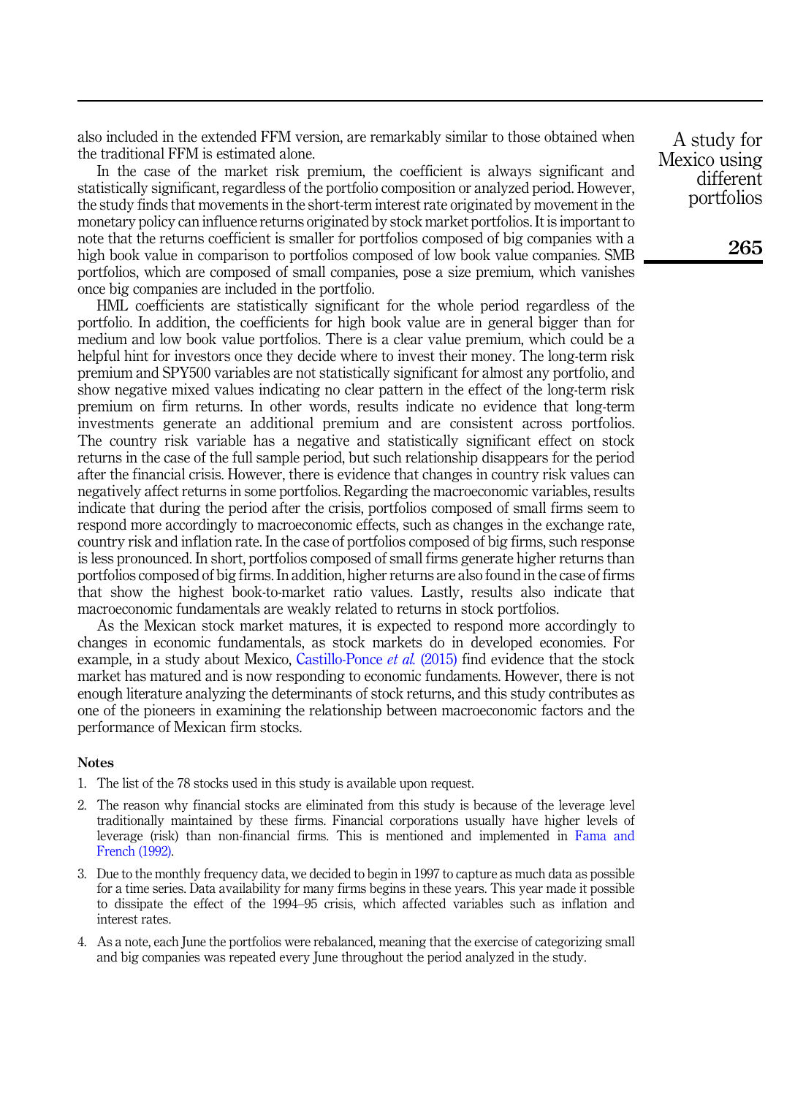also included in the extended FFM version, are remarkably similar to those obtained when the traditional FFM is estimated alone.

In the case of the market risk premium, the coefficient is always significant and statistically significant, regardless of the portfolio composition or analyzed period. However, the study finds that movements in the short-term interest rate originated by movement in the monetary policy can influence returns originated by stock market portfolios. It is important to note that the returns coefficient is smaller for portfolios composed of big companies with a high book value in comparison to portfolios composed of low book value companies. SMB portfolios, which are composed of small companies, pose a size premium, which vanishes once big companies are included in the portfolio.

HML coefficients are statistically significant for the whole period regardless of the portfolio. In addition, the coefficients for high book value are in general bigger than for medium and low book value portfolios. There is a clear value premium, which could be a helpful hint for investors once they decide where to invest their money. The long-term risk premium and SPY500 variables are not statistically significant for almost any portfolio, and show negative mixed values indicating no clear pattern in the effect of the long-term risk premium on firm returns. In other words, results indicate no evidence that long-term investments generate an additional premium and are consistent across portfolios. The country risk variable has a negative and statistically significant effect on stock returns in the case of the full sample period, but such relationship disappears for the period after the financial crisis. However, there is evidence that changes in country risk values can negatively affect returns in some portfolios. Regarding the macroeconomic variables, results indicate that during the period after the crisis, portfolios composed of small firms seem to respond more accordingly to macroeconomic effects, such as changes in the exchange rate, country risk and inflation rate. In the case of portfolios composed of big firms, such response is less pronounced. In short, portfolios composed of small firms generate higher returns than portfolios composed of big firms. In addition, higher returns are also found in the case of firms that show the highest book-to-market ratio values. Lastly, results also indicate that macroeconomic fundamentals are weakly related to returns in stock portfolios.

As the Mexican stock market matures, it is expected to respond more accordingly to changes in economic fundamentals, as stock markets do in developed economies. For example, in a study about Mexico, [Castillo-Ponce](#page-14-19) et al. (2015) find evidence that the stock market has matured and is now responding to economic fundaments. However, there is not enough literature analyzing the determinants of stock returns, and this study contributes as one of the pioneers in examining the relationship between macroeconomic factors and the performance of Mexican firm stocks.

#### Notes

- <span id="page-13-0"></span>1. The list of the 78 stocks used in this study is available upon request.
- <span id="page-13-1"></span>2. The reason why financial stocks are eliminated from this study is because of the leverage level traditionally maintained by these firms. Financial corporations usually have higher levels of leverage (risk) than non-financial firms. This is mentioned and implemented in [Fama and](#page-14-6) [French \(1992\)](#page-14-6).
- <span id="page-13-2"></span>3. Due to the monthly frequency data, we decided to begin in 1997 to capture as much data as possible for a time series. Data availability for many firms begins in these years. This year made it possible to dissipate the effect of the 1994–95 crisis, which affected variables such as inflation and interest rates.
- <span id="page-13-3"></span>4. As a note, each June the portfolios were rebalanced, meaning that the exercise of categorizing small and big companies was repeated every June throughout the period analyzed in the study.

A study for Mexico using different portfolios

265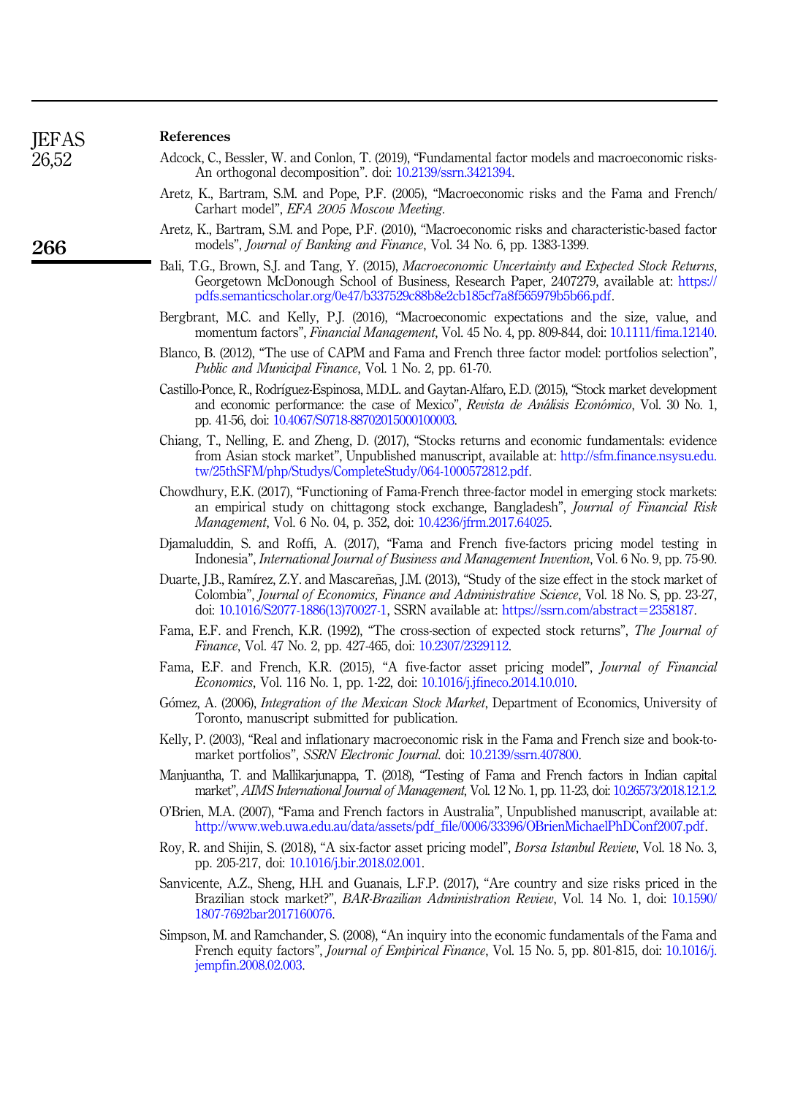266

#### References

- <span id="page-14-2"></span>Adcock, C., Bessler, W. and Conlon, T. (2019), "Fundamental factor models and macroeconomic risks-An orthogonal decomposition". doi: [10.2139/ssrn.3421394.](https://doi.org/10.2139/ssrn.3421394)
- <span id="page-14-1"></span>Aretz, K., Bartram, S.M. and Pope, P.F. (2005), "Macroeconomic risks and the Fama and French/ Carhart model", EFA 2005 Moscow Meeting.
- <span id="page-14-12"></span>Aretz, K., Bartram, S.M. and Pope, P.F. (2010), "Macroeconomic risks and characteristic-based factor models", Journal of Banking and Finance, Vol. 34 No. 6, pp. 1383-1399.
- <span id="page-14-0"></span>Bali, T.G., Brown, S.J. and Tang, Y. (2015), Macroeconomic Uncertainty and Expected Stock Returns, Georgetown McDonough School of Business, Research Paper, 2407279, available at: [https://](https://pdfs.semanticscholar.org/0e47/b337529c88b8e2cb185cf7a8f565979b5b66.pdf) [pdfs.semanticscholar.org/0e47/b337529c88b8e2cb185cf7a8f565979b5b66.pdf.](https://pdfs.semanticscholar.org/0e47/b337529c88b8e2cb185cf7a8f565979b5b66.pdf)
- <span id="page-14-3"></span>Bergbrant, M.C. and Kelly, P.J. (2016), "Macroeconomic expectations and the size, value, and momentum factors", Financial Management, Vol. 45 No. 4, pp. 809-844, doi: [10.1111/fima.12140](https://doi.org/10.1111/fima.12140).
- <span id="page-14-8"></span>Blanco, B. (2012), "The use of CAPM and Fama and French three factor model: portfolios selection", Public and Municipal Finance, Vol. 1 No. 2, pp. 61-70.
- <span id="page-14-19"></span>Castillo-Ponce, R., Rodrıguez-Espinosa, M.D.L. and Gaytan-Alfaro, E.D. (2015), "Stock market development and economic performance: the case of Mexico", Revista de Análisis Económico, Vol. 30 No. 1, pp. 41-56, doi: [10.4067/S0718-88702015000100003](https://doi.org/10.4067/S0718-88702015000100003).
- <span id="page-14-14"></span>Chiang, T., Nelling, E. and Zheng, D. (2017), "Stocks returns and economic fundamentals: evidence from Asian stock market", Unpublished manuscript, available at: [http://sfm.finance.nsysu.edu.](http://sfm.finance.nsysu.edu.tw/25thSFM/php/Studys/CompleteStudy/064-1000572812.pdf) [tw/25thSFM/php/Studys/CompleteStudy/064-1000572812.pdf](http://sfm.finance.nsysu.edu.tw/25thSFM/php/Studys/CompleteStudy/064-1000572812.pdf).
- <span id="page-14-16"></span>Chowdhury, E.K. (2017), "Functioning of Fama-French three-factor model in emerging stock markets: an empirical study on chittagong stock exchange, Bangladesh", Journal of Financial Risk Management, Vol. 6 No. 04, p. 352, doi: [10.4236/jfrm.2017.64025.](https://doi.org/10.4236/jfrm.2017.64025)
- <span id="page-14-5"></span>Djamaluddin, S. and Roffi, A. (2017), "Fama and French five-factors pricing model testing in Indonesia", International Journal of Business and Management Invention, Vol. 6 No. 9, pp. 75-90.
- <span id="page-14-11"></span>Duarte, J.B., Ramírez, Z.Y. and Mascareñas, J.M. (2013), "Study of the size effect in the stock market of Colombia", Journal of Economics, Finance and Administrative Science, Vol. 18 No. S, pp. 23-27, doi: [10.1016/S2077-1886\(13\)70027-1](https://doi.org/10.1016/S2077-1886(13)70027-1), SSRN available at: [https://ssrn.com/abstract](https://ssrn.com/abstract=2358187)=[2358187.](https://ssrn.com/abstract=2358187)
- <span id="page-14-6"></span>Fama, E.F. and French, K.R. (1992), "The cross-section of expected stock returns", The Journal of Finance, Vol. 47 No. 2, pp. 427-465, doi: [10.2307/2329112.](https://doi.org/10.2307/2329112)
- <span id="page-14-13"></span>Fama, E.F. and French, K.R. (2015), "A five-factor asset pricing model", Journal of Financial Economics, Vol. 116 No. 1, pp. 1-22, doi: [10.1016/j.jfineco.2014.10.010](https://doi.org/10.1016/j.jfineco.2014.10.010).
- <span id="page-14-9"></span>Gómez, A. (2006), *Integration of the Mexican Stock Market*, Department of Economics, University of Toronto, manuscript submitted for publication.
- <span id="page-14-18"></span>Kelly, P. (2003), "Real and inflationary macroeconomic risk in the Fama and French size and book-tomarket portfolios", SSRN Electronic Journal. doi: [10.2139/ssrn.407800](https://doi.org/10.2139/ssrn.407800).
- <span id="page-14-15"></span>Manjuantha, T. and Mallikarjunappa, T. (2018), "Testing of Fama and French factors in Indian capital market", AIMS International Journal of Management, Vol. 12 No. 1, pp. 11-23, doi: [10.26573/2018.12.1.2](https://doi.org/10.26573/2018.12.1.2).
- <span id="page-14-7"></span>O'Brien, M.A. (2007), "Fama and French factors in Australia", Unpublished manuscript, available at: [http://www.web.uwa.edu.au/data/assets/pdf\\_file/0006/33396/OBrienMichaelPhDConf2007.pdf.](http://www.web.uwa.edu.au/data/assets/pdf_file/0006/33396/OBrienMichaelPhDConf2007.pdf)
- <span id="page-14-4"></span>Roy, R. and Shijin, S. (2018), "A six-factor asset pricing model", Borsa Istanbul Review, Vol. 18 No. 3, pp. 205-217, doi: [10.1016/j.bir.2018.02.001.](https://doi.org/10.1016/j.bir.2018.02.001)
- <span id="page-14-10"></span>Sanvicente, A.Z., Sheng, H.H. and Guanais, L.F.P. (2017), "Are country and size risks priced in the Brazilian stock market?", BAR-Brazilian Administration Review, Vol. 14 No. 1, doi: [10.1590/](https://doi.org/10.1590/1807-7692bar2017160076) [1807-7692bar2017160076](https://doi.org/10.1590/1807-7692bar2017160076).
- <span id="page-14-17"></span>Simpson, M. and Ramchander, S. (2008), "An inquiry into the economic fundamentals of the Fama and French equity factors", Journal of Empirical Finance, Vol. 15 No. 5, pp. 801-815, doi: [10.1016/j.](https://doi.org/10.1016/j.jempfin.2008.02.003) [jempfin.2008.02.003.](https://doi.org/10.1016/j.jempfin.2008.02.003)